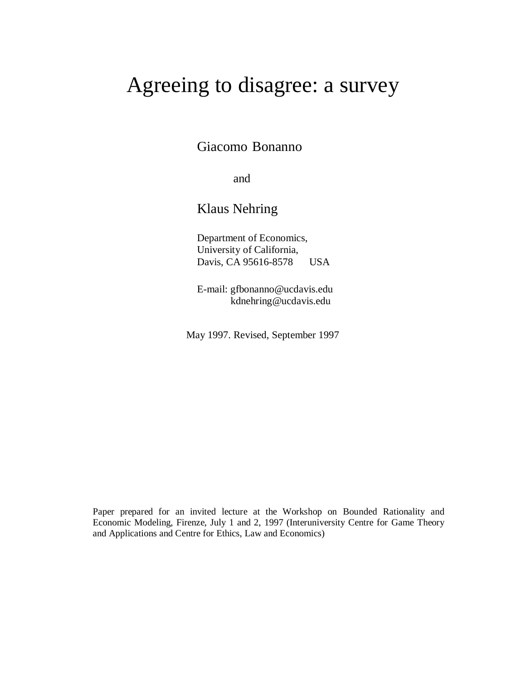# Agreeing to disagree: a survey

Giacomo Bonanno

and

Klaus Nehring

Department of Economics, University of California, Davis, CA 95616-8578 USA

E-mail: gfbonanno@ucdavis.edu kdnehring@ucdavis.edu

May 1997. Revised, September 1997

Paper prepared for an invited lecture at the Workshop on Bounded Rationality and Economic Modeling, Firenze, July 1 and 2, 1997 (Interuniversity Centre for Game Theory and Applications and Centre for Ethics, Law and Economics)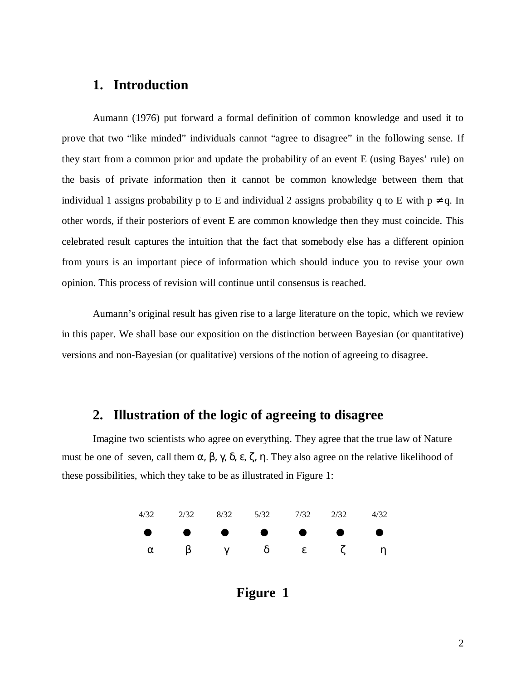#### **1. Introduction**

Aumann (1976) put forward a formal definition of common knowledge and used it to prove that two "like minded" individuals cannot "agree to disagree" in the following sense. If they start from a common prior and update the probability of an event E (using Bayes' rule) on the basis of private information then it cannot be common knowledge between them that individual 1 assigns probability p to E and individual 2 assigns probability q to E with  $p \neq q$ . In other words, if their posteriors of event E are common knowledge then they must coincide. This celebrated result captures the intuition that the fact that somebody else has a different opinion from yours is an important piece of information which should induce you to revise your own opinion. This process of revision will continue until consensus is reached.

Aumann's original result has given rise to a large literature on the topic, which we review in this paper. We shall base our exposition on the distinction between Bayesian (or quantitative) versions and non-Bayesian (or qualitative) versions of the notion of agreeing to disagree.

#### **2. Illustration of the logic of agreeing to disagree**

Imagine two scientists who agree on everything. They agree that the true law of Nature must be one of seven, call them α, β, γ, δ, ε, ζ, η. They also agree on the relative likelihood of these possibilities, which they take to be as illustrated in Figure 1:



**Figure 1**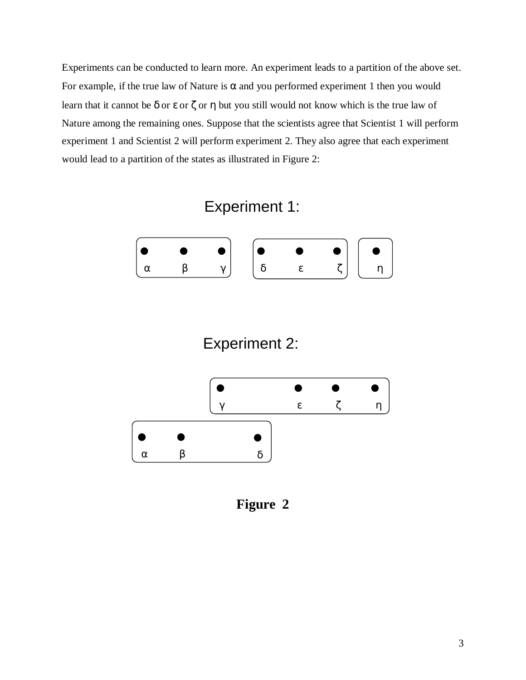Experiments can be conducted to learn more. An experiment leads to a partition of the above set. For example, if the true law of Nature is  $\alpha$  and you performed experiment 1 then you would learn that it cannot be  $\delta$  or  $\varepsilon$  or  $\zeta$  or  $\eta$  but you still would not know which is the true law of Nature among the remaining ones. Suppose that the scientists agree that Scientist 1 will perform experiment 1 and Scientist 2 will perform experiment 2. They also agree that each experiment would lead to a partition of the states as illustrated in Figure 2:



# Experiment 2:



**Figure 2**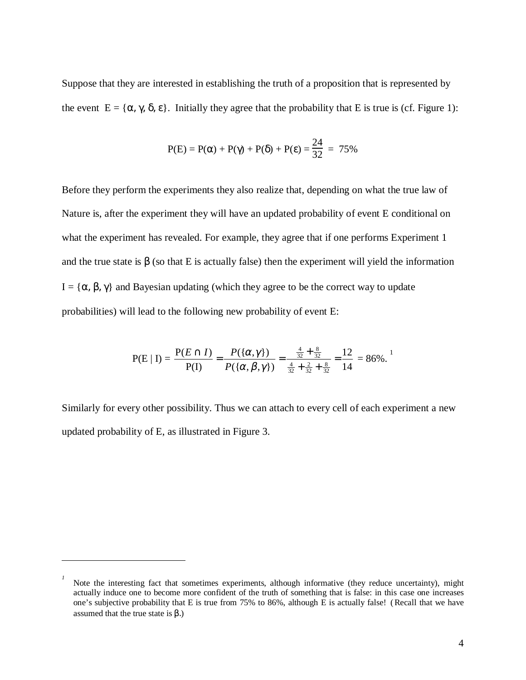Suppose that they are interested in establishing the truth of a proposition that is represented by the event  $E = {\alpha, \gamma, \delta, \epsilon}$ . Initially they agree that the probability that E is true is (cf. Figure 1):

$$
P(E) = P(\alpha) + P(\gamma) + P(\delta) + P(\epsilon) = \frac{24}{32} = 75\%
$$

Before they perform the experiments they also realize that, depending on what the true law of Nature is, after the experiment they will have an updated probability of event E conditional on what the experiment has revealed. For example, they agree that if one performs Experiment 1 and the true state is  $\beta$  (so that E is actually false) then the experiment will yield the information I =  $\{\alpha, \beta, \gamma\}$  and Bayesian updating (which they agree to be the correct way to update probabilities) will lead to the following new probability of event E:

$$
P(E | I) = \frac{P(E \cap I)}{P(I)} = \frac{P(\{\alpha, \gamma\})}{P(\{\alpha, \beta, \gamma\})} = \frac{\frac{4}{32} + \frac{8}{32}}{\frac{4}{32} + \frac{2}{32} + \frac{8}{32}} = \frac{12}{14} = 86\%^{1}
$$

Similarly for every other possibility. Thus we can attach to every cell of each experiment a new updated probability of E, as illustrated in Figure 3.

*<sup>1</sup>* Note the interesting fact that sometimes experiments, although informative (they reduce uncertainty), might actually induce one to become more confident of the truth of something that is false: in this case one increases one's subjective probability that E is true from 75% to 86%, although E is actually false! ( Recall that we have assumed that the true state is  $β$ .)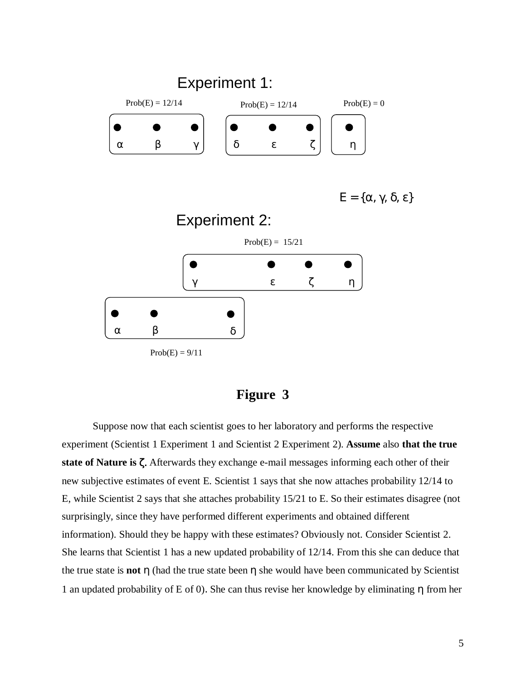

**Figure 3**

Suppose now that each scientist goes to her laboratory and performs the respective experiment (Scientist 1 Experiment 1 and Scientist 2 Experiment 2). **Assume** also **that the true state of Nature is** ζ. Afterwards they exchange e-mail messages informing each other of their new subjective estimates of event E. Scientist 1 says that she now attaches probability 12/14 to E, while Scientist 2 says that she attaches probability 15/21 to E. So their estimates disagree (not surprisingly, since they have performed different experiments and obtained different information). Should they be happy with these estimates? Obviously not. Consider Scientist 2. She learns that Scientist 1 has a new updated probability of 12/14. From this she can deduce that the true state is **not** η (had the true state been η she would have been communicated by Scientist 1 an updated probability of E of 0). She can thus revise her knowledge by eliminating η from her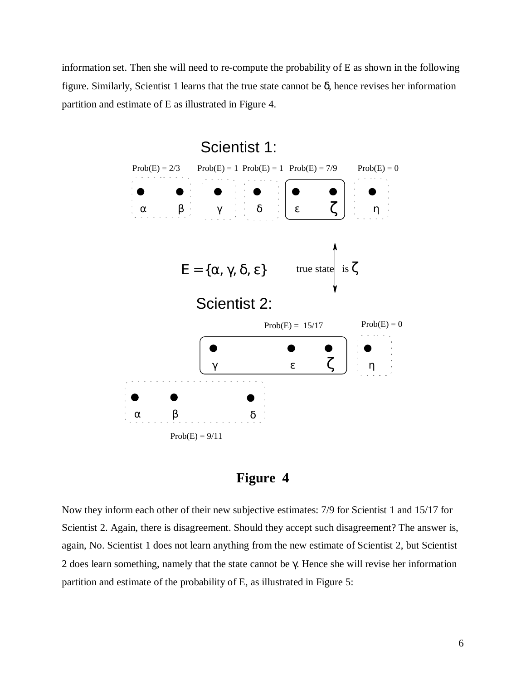information set. Then she will need to re-compute the probability of E as shown in the following figure. Similarly, Scientist 1 learns that the true state cannot be  $\delta$ , hence revises her information partition and estimate of E as illustrated in Figure 4.





Now they inform each other of their new subjective estimates: 7/9 for Scientist 1 and 15/17 for Scientist 2. Again, there is disagreement. Should they accept such disagreement? The answer is, again, No. Scientist 1 does not learn anything from the new estimate of Scientist 2, but Scientist 2 does learn something, namely that the state cannot be  $\gamma$ . Hence she will revise her information partition and estimate of the probability of E, as illustrated in Figure 5: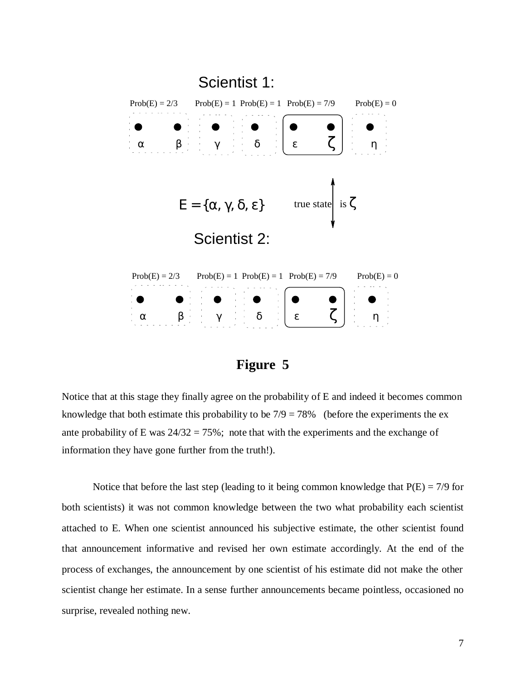



Notice that at this stage they finally agree on the probability of E and indeed it becomes common knowledge that both estimate this probability to be  $7/9 = 78\%$  (before the experiments the exante probability of E was  $24/32 = 75\%$ ; note that with the experiments and the exchange of information they have gone further from the truth!).

Notice that before the last step (leading to it being common knowledge that  $P(E) = \frac{7}{9}$  for both scientists) it was not common knowledge between the two what probability each scientist attached to E. When one scientist announced his subjective estimate, the other scientist found that announcement informative and revised her own estimate accordingly. At the end of the process of exchanges, the announcement by one scientist of his estimate did not make the other scientist change her estimate. In a sense further announcements became pointless, occasioned no surprise, revealed nothing new*.*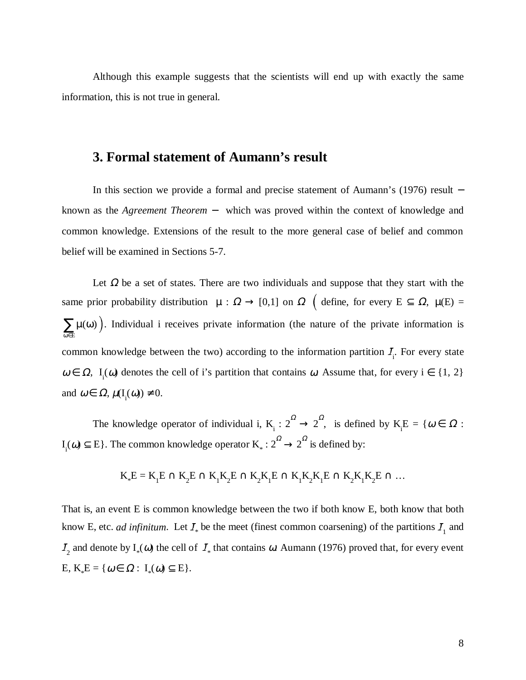Although this example suggests that the scientists will end up with exactly the same information, this is not true in general.

#### **3. Formal statement of Aumann's result**

In this section we provide a formal and precise statement of Aumann's (1976) result − known as the *Agreement Theorem* − which was proved within the context of knowledge and common knowledge. Extensions of the result to the more general case of belief and common belief will be examined in Sections 5-7.

Let  $\Omega$  be a set of states. There are two individuals and suppose that they start with the same prior probability distribution  $\mu : \Omega \to [0,1]$  on  $\Omega$  (define, for every  $E \subseteq \Omega$ ,  $\mu(E) =$  $\sum \mu(\omega)$ ). Individual i receives private information (the nature of the private information is ω ∈ E common knowledge between the two) according to the information partition  $I_i$ . For every state  $\omega \in \Omega$ , I<sub>i</sub>( $\omega$ ) denotes the cell of i's partition that contains  $\omega$ . Assume that, for every i  $\in \{1, 2\}$ and  $\omega \in \Omega$ ,  $\mu(I_i(\omega)) \neq 0$ .

The knowledge operator of individual i,  $K_i : 2^{\Omega} \to 2^{\Omega}$ , is defined by  $K_i E = \{ \omega \in \Omega :$  $I_i(\omega) \subseteq E$ . The common knowledge operator  $K_* : 2^{\Omega} \rightarrow 2^{\Omega}$  is defined by:

$$
K_*E=K_1E\cap K_2E\cap K_1K_2E\cap K_2K_1E\cap K_1K_2K_1E\cap K_2K_1K_2E\cap\ldots
$$

That is, an event E is common knowledge between the two if both know E, both know that both know E, etc. *ad infinitum*. Let  $I_*$  be the meet (finest common coarsening) of the partitions  $I_1$  and  $I_2$  and denote by  $I_*(\omega)$  the cell of  $I_*$  that contains  $\omega$  Aumann (1976) proved that, for every event  $E, K_*E = \{ \omega \in \Omega : I_*(\omega) \subseteq E \}.$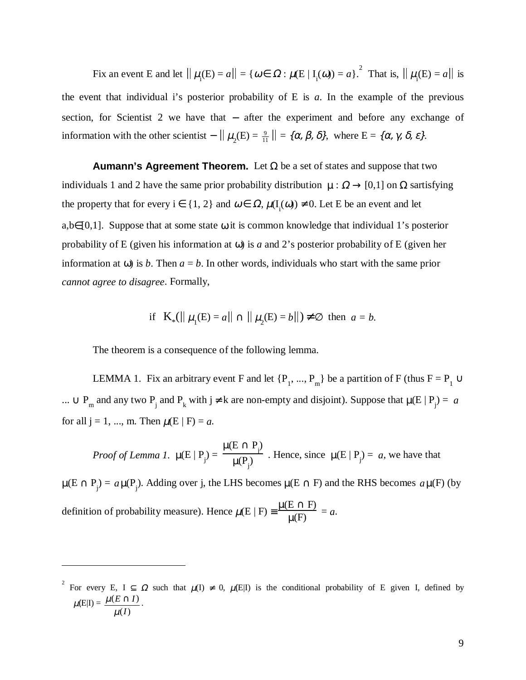Fix an event E and let  $|| \mu_i(E) = a|| = { \omega \in \Omega : \mu(E | I_i(\omega)) = a }^2$ . That is,  $|| \mu_i(E) = a ||$  is the event that individual i's posterior probability of  $E$  is  $a$ . In the example of the previous section, for Scientist 2 we have that − after the experiment and before any exchange of information with the other scientist  $- \|\mu_2(E) = \frac{9}{11} \| = \{ \alpha, \beta, \delta \},\$  where  $E = \{ \alpha, \gamma, \delta, \epsilon \}.$ 

**Aumann's Agreement Theorem.** Let  $\Omega$  be a set of states and suppose that two individuals 1 and 2 have the same prior probability distribution  $\mu : \Omega \to [0,1]$  on  $\Omega$  sartisfying the property that for every  $i \in \{1, 2\}$  and  $\omega \in \Omega$ ,  $\mu(I_i(\omega)) \neq 0$ . Let E be an event and let a,b∈[0,1]. Suppose that at some state  $\omega$  it is common knowledge that individual 1's posterior probability of E (given his information at ω) is *a* and 2's posterior probability of E (given her information at  $\omega$ ) is *b*. Then  $a = b$ . In other words, individuals who start with the same prior *cannot agree to disagree*. Formally,

if 
$$
K_*(||\mu_1(E) = a|| \cap ||\mu_2(E) = b||) \neq \emptyset
$$
 then  $a = b$ .

The theorem is a consequence of the following lemma.

 $\overline{a}$ 

LEMMA 1. Fix an arbitrary event F and let  $\{P_1, ..., P_m\}$  be a partition of F (thus  $F = P_1 \cup$ ... ∪ P<sub>m</sub> and any two P<sub>j</sub> and P<sub>k</sub> with j ≠ k are non-empty and disjoint). Suppose that  $\mu(E | P_j) = a$ for all  $j = 1, ..., m$ . Then  $\mu(E | F) = a$ .

*Proof of Lemma 1.* 
$$
\mu(E | P_j) = \frac{\mu(E \cap P_j)}{\mu(P_j)}
$$
. Hence, since  $\mu(E | P_j) = a$ , we have that

 $\mu(E \cap P_j) = a\mu(P_j)$ . Adding over j, the LHS becomes  $\mu(E \cap F)$  and the RHS becomes  $a\mu(F)$  (by definition of probability measure). Hence  $\mu(E \mid F) \equiv \frac{\mu(E \cap F)}{\mu(F)} = a$ .

<sup>2</sup> For every E, I  $\subseteq \Omega$  such that  $\mu(I) \neq 0$ ,  $\mu(E|I)$  is the conditional probability of E given I, defined by  $\mu(E|I) =$  $(I)$  $(E \cap I)$ *I*  $E \cap I$ µ  $\frac{\mu(E \cap I)}{P}$ .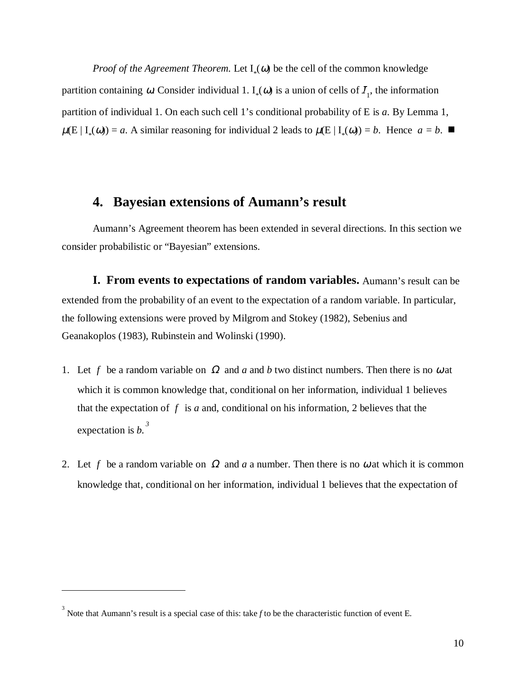*Proof of the Agreement Theorem.* Let  $I_*(\omega)$  be the cell of the common knowledge partition containing  $\omega$ . Consider individual 1. I<sub>\*</sub>( $\omega$ ) is a union of cells of  $I_1$ , the information partition of individual 1. On each such cell 1's conditional probability of E is *a*. By Lemma 1,  $\mu(E | I_*(\omega)) = a$ . A similar reasoning for individual 2 leads to  $\mu(E | I_*(\omega)) = b$ . Hence  $a = b$ .

#### **4. Bayesian extensions of Aumann's result**

Aumann's Agreement theorem has been extended in several directions. In this section we consider probabilistic or "Bayesian" extensions.

**I. From events to expectations of random variables.** Aumann's result can be extended from the probability of an event to the expectation of a random variable. In particular, the following extensions were proved by Milgrom and Stokey (1982), Sebenius and Geanakoplos (1983), Rubinstein and Wolinski (1990).

- 1. Let f be a random variable on  $\Omega$  and a and b two distinct numbers. Then there is no  $\omega$  at which it is common knowledge that, conditional on her information, individual 1 believes that the expectation of  $f$  is  $a$  and, conditional on his information, 2 believes that the expectation is *b. 3*
- 2. Let f be a random variable on  $\Omega$  and a a number. Then there is no  $\omega$  at which it is common knowledge that, conditional on her information, individual 1 believes that the expectation of

<sup>&</sup>lt;sup>3</sup> Note that Aumann's result is a special case of this: take *f* to be the characteristic function of event E.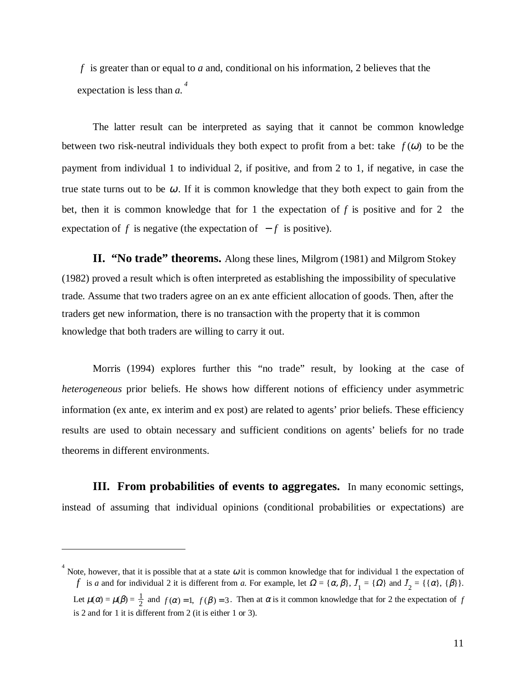*f* is greater than or equal to *a* and, conditional on his information, 2 believes that the expectation is less than *a. 4*

The latter result can be interpreted as saying that it cannot be common knowledge between two risk-neutral individuals they both expect to profit from a bet: take  $f(\omega)$  to be the payment from individual 1 to individual 2, if positive, and from 2 to 1, if negative, in case the true state turns out to be  $\omega$ . If it is common knowledge that they both expect to gain from the bet, then it is common knowledge that for 1 the expectation of *f* is positive and for 2 the expectation of *f* is negative (the expectation of  $-f$  is positive).

**II. "No trade" theorems.** Along these lines, Milgrom (1981) and Milgrom Stokey (1982) proved a result which is often interpreted as establishing the impossibility of speculative trade. Assume that two traders agree on an ex ante efficient allocation of goods. Then, after the traders get new information, there is no transaction with the property that it is common knowledge that both traders are willing to carry it out.

Morris (1994) explores further this "no trade" result, by looking at the case of *heterogeneous* prior beliefs. He shows how different notions of efficiency under asymmetric information (ex ante, ex interim and ex post) are related to agents' prior beliefs. These efficiency results are used to obtain necessary and sufficient conditions on agents' beliefs for no trade theorems in different environments.

**III. From probabilities of events to aggregates.** In many economic settings, instead of assuming that individual opinions (conditional probabilities or expectations) are

<sup>&</sup>lt;sup>4</sup> Note, however, that it is possible that at a state  $\omega$  it is common knowledge that for individual 1 the expectation of *f* is *a* and for individual 2 it is different from *a*. For example, let  $\Omega = {\alpha, \beta}$ ,  $I_1 = {\Omega}$  and  $I_2 = {\alpha, \beta}$ ,  ${\beta}.$ Let  $\mu(\alpha) = \mu(\beta) = \frac{1}{2}$  and  $f(\alpha) = 1$ ,  $f(\beta) = 3$ . Then at  $\alpha$  is it common knowledge that for 2 the expectation of  $f$ is 2 and for 1 it is different from 2 (it is either 1 or 3).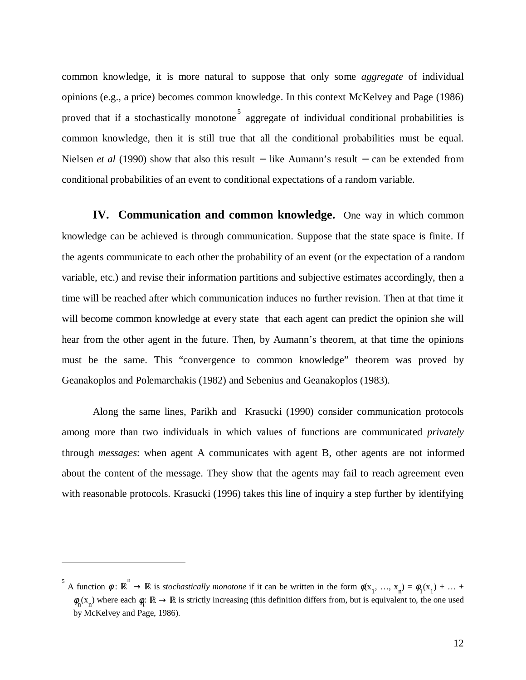common knowledge, it is more natural to suppose that only some *aggregate* of individual opinions (e.g., a price) becomes common knowledge. In this context McKelvey and Page (1986) proved that if a stochastically monotone  $\frac{5}{9}$  aggregate of individual conditional probabilities is common knowledge, then it is still true that all the conditional probabilities must be equal. Nielsen *et al* (1990) show that also this result − like Aumann's result − can be extended from conditional probabilities of an event to conditional expectations of a random variable.

**IV. Communication and common knowledge.** One way in which common knowledge can be achieved is through communication. Suppose that the state space is finite. If the agents communicate to each other the probability of an event (or the expectation of a random variable, etc.) and revise their information partitions and subjective estimates accordingly, then a time will be reached after which communication induces no further revision. Then at that time it will become common knowledge at every state that each agent can predict the opinion she will hear from the other agent in the future. Then, by Aumann's theorem, at that time the opinions must be the same. This "convergence to common knowledge" theorem was proved by Geanakoplos and Polemarchakis (1982) and Sebenius and Geanakoplos (1983).

Along the same lines, Parikh and Krasucki (1990) consider communication protocols among more than two individuals in which values of functions are communicated *privately* through *messages*: when agent A communicates with agent B, other agents are not informed about the content of the message. They show that the agents may fail to reach agreement even with reasonable protocols. Krasucki (1996) takes this line of inquiry a step further by identifying

 $\phi$ <sup>5</sup> A function  $\phi : \mathbb{R}^n \to \mathbb{R}$  is *stochastically monotone* if it can be written in the form  $\phi(x_1, ..., x_n) = \phi_1(x_1) + ...$  $\phi_n(x_n)$  where each  $\phi_i: \mathbb{R} \to \mathbb{R}$  is strictly increasing (this definition differs from, but is equivalent to, the one used by McKelvey and Page, 1986).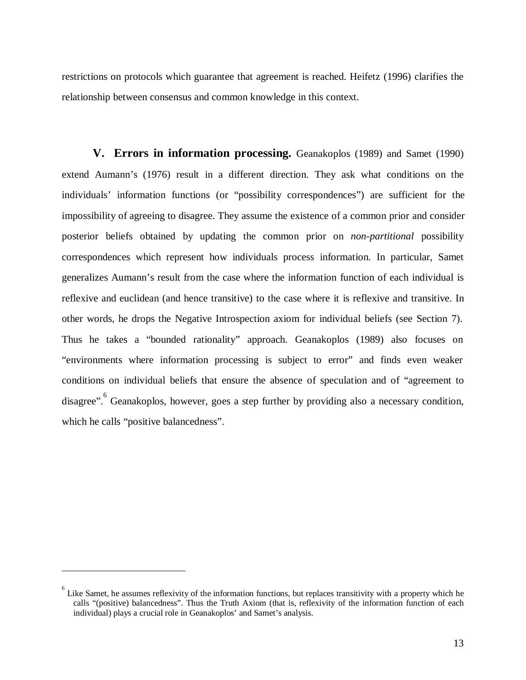restrictions on protocols which guarantee that agreement is reached. Heifetz (1996) clarifies the relationship between consensus and common knowledge in this context.

**V. Errors in information processing.** Geanakoplos (1989) and Samet (1990) extend Aumann's (1976) result in a different direction. They ask what conditions on the individuals' information functions (or "possibility correspondences") are sufficient for the impossibility of agreeing to disagree. They assume the existence of a common prior and consider posterior beliefs obtained by updating the common prior on *non-partitional* possibility correspondences which represent how individuals process information. In particular, Samet generalizes Aumann's result from the case where the information function of each individual is reflexive and euclidean (and hence transitive) to the case where it is reflexive and transitive. In other words, he drops the Negative Introspection axiom for individual beliefs (see Section 7). Thus he takes a "bounded rationality" approach. Geanakoplos (1989) also focuses on "environments where information processing is subject to error" and finds even weaker conditions on individual beliefs that ensure the absence of speculation and of "agreement to disagree". <sup>6</sup> Geanakoplos, however, goes a step further by providing also a necessary condition, which he calls "positive balancedness".

 $\delta$  Like Samet, he assumes reflexivity of the information functions, but replaces transitivity with a property which he calls "(positive) balancedness". Thus the Truth Axiom (that is, reflexivity of the information function of each individual) plays a crucial role in Geanakoplos' and Samet's analysis.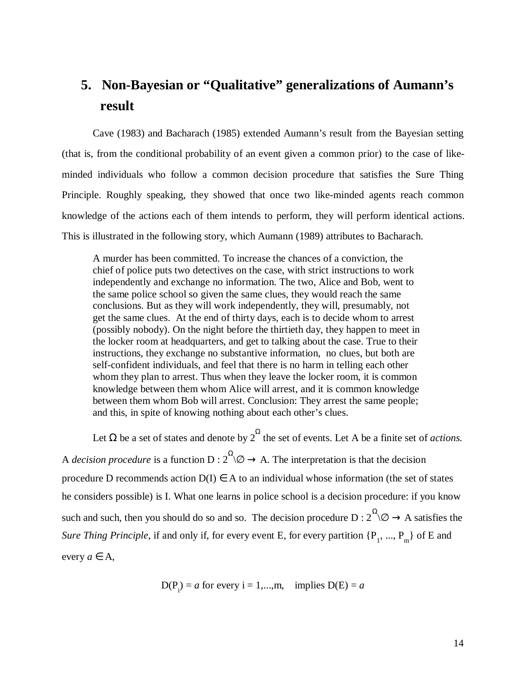## **5. Non-Bayesian or "Qualitative" generalizations of Aumann's result**

Cave (1983) and Bacharach (1985) extended Aumann's result from the Bayesian setting (that is, from the conditional probability of an event given a common prior) to the case of likeminded individuals who follow a common decision procedure that satisfies the Sure Thing Principle. Roughly speaking, they showed that once two like-minded agents reach common knowledge of the actions each of them intends to perform, they will perform identical actions. This is illustrated in the following story, which Aumann (1989) attributes to Bacharach.

A murder has been committed. To increase the chances of a conviction, the chief of police puts two detectives on the case, with strict instructions to work independently and exchange no information. The two, Alice and Bob, went to the same police school so given the same clues, they would reach the same conclusions. But as they will work independently, they will, presumably, not get the same clues. At the end of thirty days, each is to decide whom to arrest (possibly nobody). On the night before the thirtieth day, they happen to meet in the locker room at headquarters, and get to talking about the case. True to their instructions, they exchange no substantive information, no clues, but both are self-confident individuals, and feel that there is no harm in telling each other whom they plan to arrest. Thus when they leave the locker room, it is common knowledge between them whom Alice will arrest, and it is common knowledge between them whom Bob will arrest. Conclusion: They arrest the same people; and this, in spite of knowing nothing about each other's clues.

Let  $\Omega$  be a set of states and denote by  $2^{\Omega}$  the set of events. Let A be a finite set of *actions*. A *decision procedure* is a function  $D: 2^{\Omega}\otimes \rightarrow A$ . The interpretation is that the decision procedure D recommends action  $D(I) \in A$  to an individual whose information (the set of states he considers possible) is I. What one learns in police school is a decision procedure: if you know such and such, then you should do so and so. The decision procedure  $D: 2^{\Omega} \times \mathbb{R} \rightarrow A$  satisfies the *Sure Thing Principle*, if and only if, for every event E, for every partition  $\{P_1, ..., P_m\}$  of E and every  $a \in A$ ,

$$
D(P_i) = a \text{ for every } i = 1,...,m, \text{ implies } D(E) = a
$$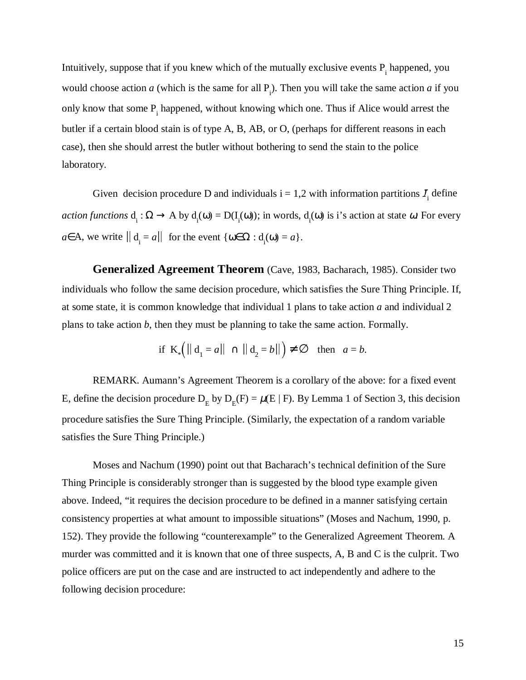Intuitively, suppose that if you knew which of the mutually exclusive events  $P_i$  happened, you would choose action *a* (which is the same for all  $P_i$ ). Then you will take the same action *a* if you only know that some  $P_i$  happened, without knowing which one. Thus if Alice would arrest the butler if a certain blood stain is of type A, B, AB, or O, (perhaps for different reasons in each case), then she should arrest the butler without bothering to send the stain to the police laboratory.

Given decision procedure D and individuals  $i = 1, 2$  with information partitions  $I_i$  define  $action functions d_i: \Omega \to A by d_i(\omega) = D(I_i(\omega))$ ; in words,  $d_i(\omega)$  is i's action at state  $\omega$ . For every  $a \in A$ , we write  $\|\mathbf{d}_i = a\|$  for the event  $\{\omega \in \Omega : \mathbf{d}_i(\omega) = a\}.$ 

**Generalized Agreement Theorem** (Cave, 1983, Bacharach, 1985). Consider two individuals who follow the same decision procedure, which satisfies the Sure Thing Principle. If, at some state, it is common knowledge that individual 1 plans to take action *a* and individual 2 plans to take action *b*, then they must be planning to take the same action. Formally.

$$
\text{if } \mathbf{K}_* \Big( \parallel \mathbf{d}_1 = a \parallel \cap \parallel \mathbf{d}_2 = b \parallel \Big) \neq \varnothing \quad \text{then} \quad a = b.
$$

REMARK. Aumann's Agreement Theorem is a corollary of the above: for a fixed event E, define the decision procedure  $D_E$  by  $D_E(F) = \mu(E \mid F)$ . By Lemma 1 of Section 3, this decision procedure satisfies the Sure Thing Principle. (Similarly, the expectation of a random variable satisfies the Sure Thing Principle.)

Moses and Nachum (1990) point out that Bacharach's technical definition of the Sure Thing Principle is considerably stronger than is suggested by the blood type example given above. Indeed, "it requires the decision procedure to be defined in a manner satisfying certain consistency properties at what amount to impossible situations" (Moses and Nachum, 1990, p. 152). They provide the following "counterexample" to the Generalized Agreement Theorem. A murder was committed and it is known that one of three suspects, A, B and C is the culprit. Two police officers are put on the case and are instructed to act independently and adhere to the following decision procedure: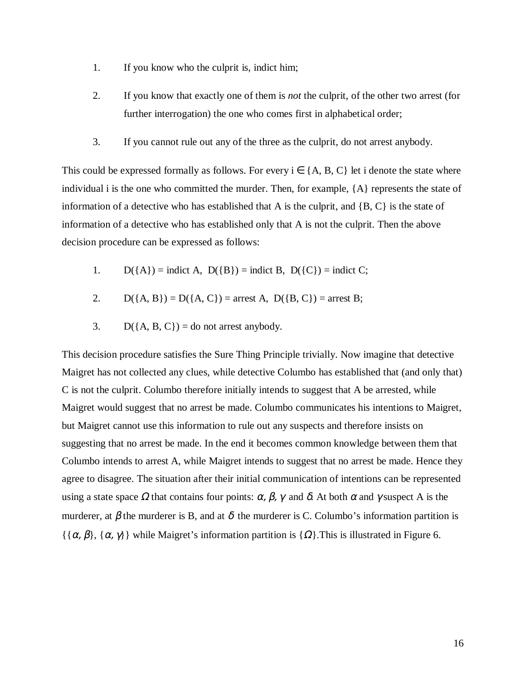- 1. If you know who the culprit is, indict him;
- 2. If you know that exactly one of them is *not* the culprit, of the other two arrest (for further interrogation) the one who comes first in alphabetical order;
- 3. If you cannot rule out any of the three as the culprit, do not arrest anybody.

This could be expressed formally as follows. For every  $i \in \{A, B, C\}$  let i denote the state where individual i is the one who committed the murder. Then, for example, {A} represents the state of information of a detective who has established that A is the culprit, and  $\{B, C\}$  is the state of information of a detective who has established only that A is not the culprit. Then the above decision procedure can be expressed as follows:

- 1.  $D({A})$  = indict A,  $D({B})$  = indict B,  $D({C})$  = indict C;
- 2.  $D({A, B}) = D({A, C}) =$  arrest A,  $D({B, C}) =$  arrest B;
- 3.  $D({A, B, C}) = do not arrest anybody.$

This decision procedure satisfies the Sure Thing Principle trivially. Now imagine that detective Maigret has not collected any clues, while detective Columbo has established that (and only that) C is not the culprit. Columbo therefore initially intends to suggest that A be arrested, while Maigret would suggest that no arrest be made. Columbo communicates his intentions to Maigret, but Maigret cannot use this information to rule out any suspects and therefore insists on suggesting that no arrest be made. In the end it becomes common knowledge between them that Columbo intends to arrest A, while Maigret intends to suggest that no arrest be made. Hence they agree to disagree. The situation after their initial communication of intentions can be represented using a state space  $\Omega$  that contains four points:  $\alpha$ ,  $\beta$ ,  $\gamma$  and  $\delta$ . At both  $\alpha$  and  $\gamma$  suspect A is the murderer, at  $\beta$  the murderer is B, and at  $\delta$  the murderer is C. Columbo's information partition is  $\{\{\alpha, \beta\}, \{\alpha, \gamma\}\}\$  while Maigret's information partition is  $\{\Omega\}\$ . This is illustrated in Figure 6.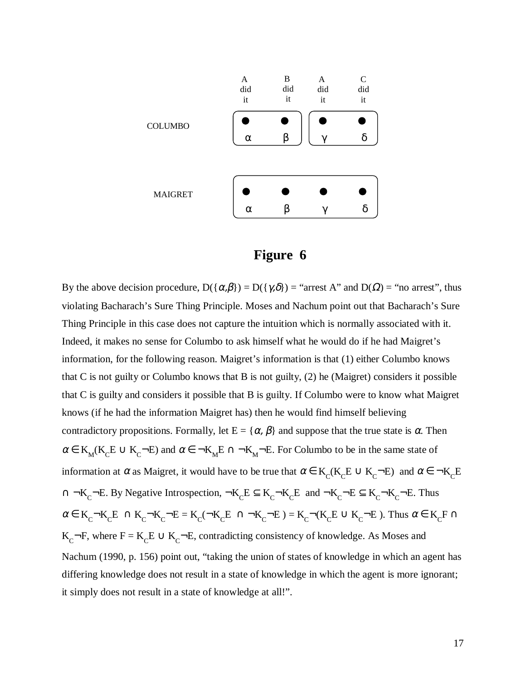



By the above decision procedure,  $D(\{\alpha,\beta\}) = D(\{\gamma,\delta\}) =$  "arrest A" and  $D(\Omega) =$  "no arrest", thus violating Bacharach's Sure Thing Principle. Moses and Nachum point out that Bacharach's Sure Thing Principle in this case does not capture the intuition which is normally associated with it. Indeed, it makes no sense for Columbo to ask himself what he would do if he had Maigret's information, for the following reason. Maigret's information is that (1) either Columbo knows that C is not guilty or Columbo knows that B is not guilty, (2) he (Maigret) considers it possible that C is guilty and considers it possible that B is guilty. If Columbo were to know what Maigret knows (if he had the information Maigret has) then he would find himself believing contradictory propositions. Formally, let  $E = \{\alpha, \beta\}$  and suppose that the true state is  $\alpha$ . Then  $\alpha \in K_M(K_c E \cup K_c \neg E)$  and  $\alpha \in \neg K_M E \cap \neg K_M \neg E$ . For Columbo to be in the same state of information at  $\alpha$  as Maigret, it would have to be true that  $\alpha \in K_c(K_cE \cup K_c-E)$  and  $\alpha \in \neg K_cE$ ∩ ¬K<sub>C</sub>¬E. By Negative Introspection,  $\neg K_{C}E \subseteq K_{C} \neg K_{C}E$  and  $\neg K_{C} \neg E \subseteq K_{C} \neg K_{C} \neg E$ . Thus  $\alpha \in K_c\negthinspace\negthinspace -K_cE \,\bigcap\, K_c\negthinspace\negthinspace -K_c\negthinspace\negthinspace -E = K_c(\negthinspace\negthinspace -K_cE \,\bigcap\, K_c\negthinspace\negthinspace -E) = K_c\negthinspace\negthinspace\negthinspace (K_cE \,\bigcup\, K_c\negthinspace\negthinspace -E)$ . Thus  $\alpha \in K_cF \,\bigcap\,$ K<sub>C</sub>¬F, where F = K<sub>C</sub>E  $\cup$  K<sub>C</sub>¬E, contradicting consistency of knowledge. As Moses and Nachum (1990, p. 156) point out, "taking the union of states of knowledge in which an agent has differing knowledge does not result in a state of knowledge in which the agent is more ignorant; it simply does not result in a state of knowledge at all!".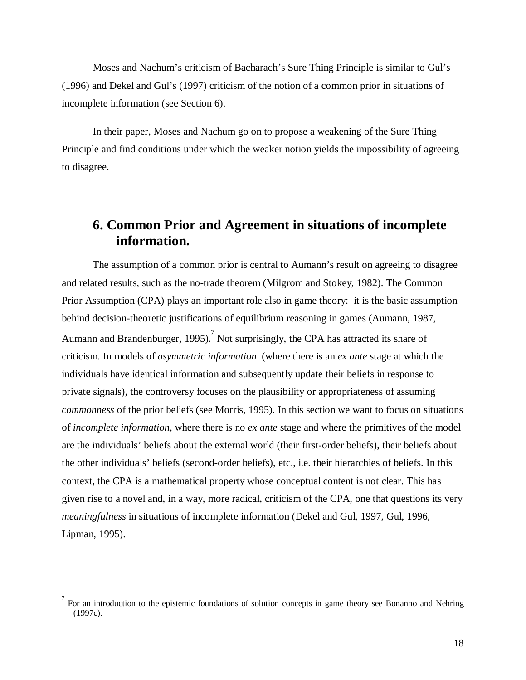Moses and Nachum's criticism of Bacharach's Sure Thing Principle is similar to Gul's (1996) and Dekel and Gul's (1997) criticism of the notion of a common prior in situations of incomplete information (see Section 6).

In their paper, Moses and Nachum go on to propose a weakening of the Sure Thing Principle and find conditions under which the weaker notion yields the impossibility of agreeing to disagree.

#### **6. Common Prior and Agreement in situations of incomplete information.**

The assumption of a common prior is central to Aumann's result on agreeing to disagree and related results, such as the no-trade theorem (Milgrom and Stokey, 1982). The Common Prior Assumption (CPA) plays an important role also in game theory: it is the basic assumption behind decision-theoretic justifications of equilibrium reasoning in games (Aumann, 1987, Aumann and Brandenburger, 1995). Not surprisingly, the CPA has attracted its share of criticism. In models of *asymmetric information* (where there is an *ex ante* stage at which the individuals have identical information and subsequently update their beliefs in response to private signals), the controversy focuses on the plausibility or appropriateness of assuming *commonness* of the prior beliefs (see Morris, 1995). In this section we want to focus on situations of *incomplete information*, where there is no *ex ante* stage and where the primitives of the model are the individuals' beliefs about the external world (their first-order beliefs), their beliefs about the other individuals' beliefs (second-order beliefs), etc., i.e. their hierarchies of beliefs. In this context, the CPA is a mathematical property whose conceptual content is not clear. This has given rise to a novel and, in a way, more radical, criticism of the CPA, one that questions its very *meaningfulness* in situations of incomplete information (Dekel and Gul, 1997, Gul, 1996, Lipman, 1995).

 $\sigma$  For an introduction to the epistemic foundations of solution concepts in game theory see Bonanno and Nehring (1997c).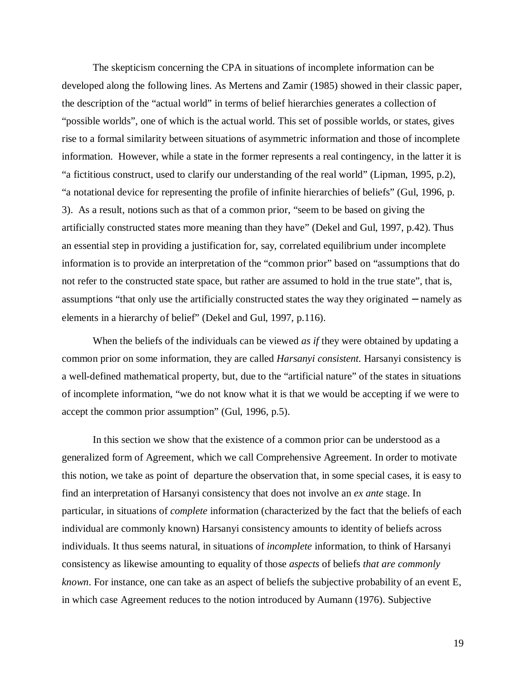The skepticism concerning the CPA in situations of incomplete information can be developed along the following lines. As Mertens and Zamir (1985) showed in their classic paper, the description of the "actual world" in terms of belief hierarchies generates a collection of "possible worlds", one of which is the actual world. This set of possible worlds, or states, gives rise to a formal similarity between situations of asymmetric information and those of incomplete information. However, while a state in the former represents a real contingency, in the latter it is "a fictitious construct, used to clarify our understanding of the real world" (Lipman, 1995, p.2), "a notational device for representing the profile of infinite hierarchies of beliefs" (Gul, 1996, p. 3). As a result, notions such as that of a common prior, "seem to be based on giving the artificially constructed states more meaning than they have" (Dekel and Gul, 1997, p.42). Thus an essential step in providing a justification for, say, correlated equilibrium under incomplete information is to provide an interpretation of the "common prior" based on "assumptions that do not refer to the constructed state space, but rather are assumed to hold in the true state", that is, assumptions "that only use the artificially constructed states the way they originated − namely as elements in a hierarchy of belief" (Dekel and Gul, 1997, p.116).

When the beliefs of the individuals can be viewed *as if* they were obtained by updating a common prior on some information, they are called *Harsanyi consistent.* Harsanyi consistency is a well-defined mathematical property, but, due to the "artificial nature" of the states in situations of incomplete information, "we do not know what it is that we would be accepting if we were to accept the common prior assumption" (Gul, 1996, p.5).

In this section we show that the existence of a common prior can be understood as a generalized form of Agreement, which we call Comprehensive Agreement. In order to motivate this notion, we take as point of departure the observation that, in some special cases, it is easy to find an interpretation of Harsanyi consistency that does not involve an *ex ante* stage. In particular, in situations of *complete* information (characterized by the fact that the beliefs of each individual are commonly known) Harsanyi consistency amounts to identity of beliefs across individuals. It thus seems natural, in situations of *incomplete* information, to think of Harsanyi consistency as likewise amounting to equality of those *aspects* of beliefs *that are commonly known*. For instance, one can take as an aspect of beliefs the subjective probability of an event E, in which case Agreement reduces to the notion introduced by Aumann (1976). Subjective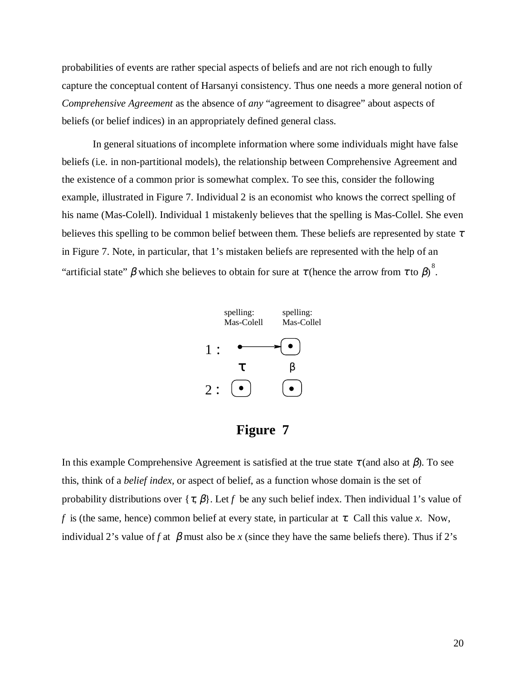probabilities of events are rather special aspects of beliefs and are not rich enough to fully capture the conceptual content of Harsanyi consistency. Thus one needs a more general notion of *Comprehensive Agreement* as the absence of *any* "agreement to disagree" about aspects of beliefs (or belief indices) in an appropriately defined general class.

In general situations of incomplete information where some individuals might have false beliefs (i.e. in non-partitional models), the relationship between Comprehensive Agreement and the existence of a common prior is somewhat complex. To see this, consider the following example, illustrated in Figure 7. Individual 2 is an economist who knows the correct spelling of his name (Mas-Colell). Individual 1 mistakenly believes that the spelling is Mas-Collel. She even believes this spelling to be common belief between them. These beliefs are represented by state  $\tau$ in Figure 7. Note, in particular, that 1's mistaken beliefs are represented with the help of an "artificial state"  $\beta$  which she believes to obtain for sure at  $\tau$  (hence the arrow from  $\tau$  to  $\beta$ ).



#### **Figure 7**

In this example Comprehensive Agreement is satisfied at the true state  $\tau$  (and also at  $\beta$ ). To see this, think of a *belief index,* or aspect of belief, as a function whose domain is the set of probability distributions over  $\{\tau, \beta\}$ . Let f be any such belief index. Then individual 1's value of *f* is (the same, hence) common belief at every state, in particular at  $\tau$ . Call this value *x*. Now, individual 2's value of *f* at  $\beta$  must also be *x* (since they have the same beliefs there). Thus if 2's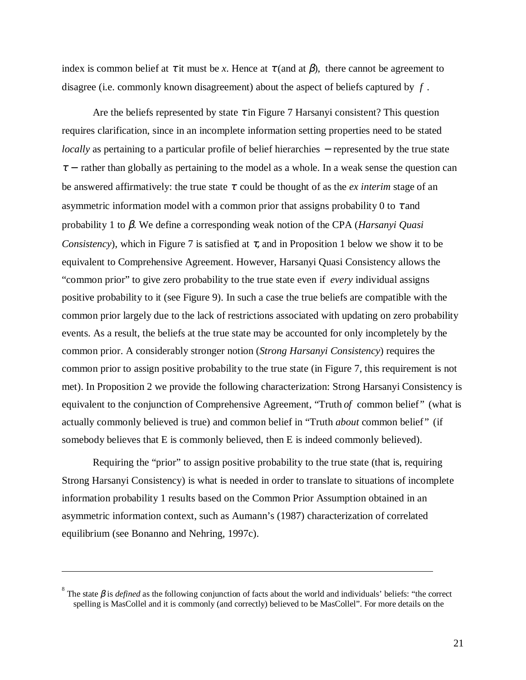index is common belief at  $\tau$  it must be *x*. Hence at  $\tau$  (and at  $\beta$ ), there cannot be agreement to disagree (i.e. commonly known disagreement) about the aspect of beliefs captured by *f* .

Are the beliefs represented by state  $\tau$  in Figure 7 Harsanyi consistent? This question requires clarification, since in an incomplete information setting properties need to be stated *locally* as pertaining to a particular profile of belief hierarchies – represented by the true state  $\tau$  – rather than globally as pertaining to the model as a whole. In a weak sense the question can be answered affirmatively: the true state  $\tau$  could be thought of as the *ex interim* stage of an asymmetric information model with a common prior that assigns probability 0 to  $\tau$  and probability 1 to β. We define a corresponding weak notion of the CPA (*Harsanyi Quasi Consistency*), which in Figure 7 is satisfied at  $\tau$ , and in Proposition 1 below we show it to be equivalent to Comprehensive Agreement. However, Harsanyi Quasi Consistency allows the "common prior" to give zero probability to the true state even if *every* individual assigns positive probability to it (see Figure 9). In such a case the true beliefs are compatible with the common prior largely due to the lack of restrictions associated with updating on zero probability events. As a result, the beliefs at the true state may be accounted for only incompletely by the common prior. A considerably stronger notion (*Strong Harsanyi Consistency*) requires the common prior to assign positive probability to the true state (in Figure 7, this requirement is not met). In Proposition 2 we provide the following characterization: Strong Harsanyi Consistency is equivalent to the conjunction of Comprehensive Agreement, "Truth *of* common belief" (what is actually commonly believed is true) and common belief in "Truth *about* common belief" (if somebody believes that E is commonly believed, then E is indeed commonly believed).

Requiring the "prior" to assign positive probability to the true state (that is, requiring Strong Harsanyi Consistency) is what is needed in order to translate to situations of incomplete information probability 1 results based on the Common Prior Assumption obtained in an asymmetric information context, such as Aumann's (1987) characterization of correlated equilibrium (see Bonanno and Nehring, 1997c).

<sup>&</sup>lt;sup>8</sup> The state  $\beta$  is *defined* as the following conjunction of facts about the world and individuals' beliefs: "the correct spelling is MasCollel and it is commonly (and correctly) believed to be MasCollel". For more details on the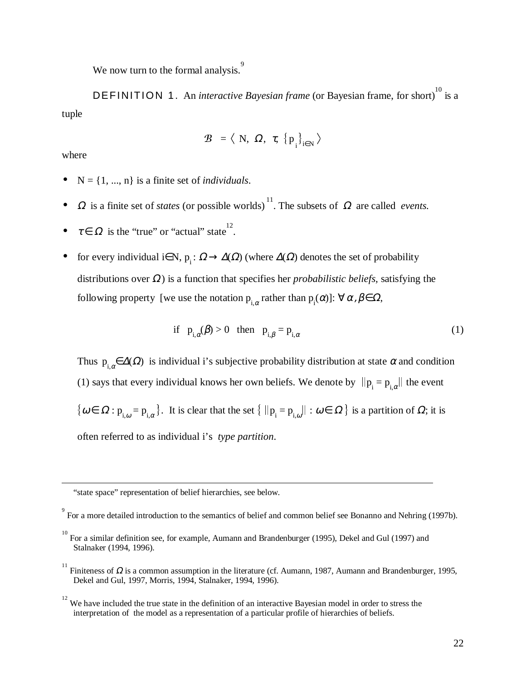We now turn to the formal analysis.<sup>9</sup>

DEFINITION 1. An *interactive Bayesian frame* (or Bayesian frame, for short)<sup>10</sup> is a tuple

$$
\mathcal{B} = \langle N, \Omega, \tau, \{p_{i}\}_{i \in N} \rangle
$$

where

- $N = \{1, ..., n\}$  is a finite set of *individuals*.
- $\Omega$  is a finite set of *states* (or possible worlds)<sup>11</sup>. The subsets of  $\Omega$  are called *events*.
- $\tau \in \Omega$  is the "true" or "actual" state<sup>12</sup>.
- for every individual i∈N,  $p_i : \Omega \to \Delta(\Omega)$  (where  $\Delta(\Omega)$  denotes the set of probability distributions over Ω) is a function that specifies her *probabilistic beliefs,* satisfying the following property [we use the notation  $p_{i,\alpha}$  rather than  $p_i(\alpha)$ ]:  $\forall \alpha, \beta \in \Omega$ ,

if 
$$
p_{i,\alpha}(\beta) > 0
$$
 then  $p_{i,\beta} = p_{i,\alpha}$  (1)

Thus  $p_{i,\alpha} \in \Delta(\Omega)$  is individual i's subjective probability distribution at state  $\alpha$  and condition (1) says that every individual knows her own beliefs. We denote by  $\|p_i = p_{i,\alpha}\|$  the event  $\{\omega \in \Omega : p_{i,\omega} = p_{i,\alpha}\}\.$  It is clear that the set  $\{\|p_i = p_{i,\omega}\| : \omega \in \Omega\}$  is a partition of  $\Omega$ ; it is often referred to as individual i's *type partition*.

"state space" representation of belief hierarchies, see below.

<sup>11</sup> Finiteness of  $\Omega$  is a common assumption in the literature (cf. Aumann, 1987, Aumann and Brandenburger, 1995, Dekel and Gul, 1997, Morris, 1994, Stalnaker, 1994, 1996).

<sup>&</sup>lt;sup>9</sup> For a more detailed introduction to the semantics of belief and common belief see Bonanno and Nehring (1997b).

<sup>10</sup> For a similar definition see, for example, Aumann and Brandenburger (1995), Dekel and Gul (1997) and Stalnaker (1994, 1996).

 $12$  We have included the true state in the definition of an interactive Bayesian model in order to stress the interpretation of the model as a representation of a particular profile of hierarchies of beliefs.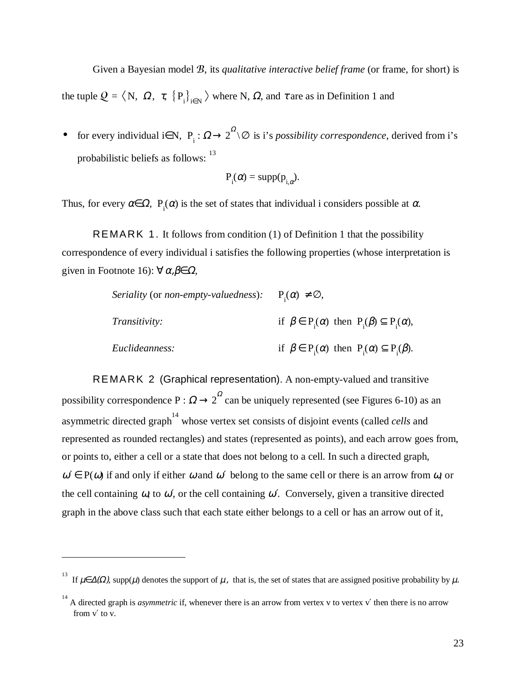Given a Bayesian model B, its *qualitative interactive belief frame* (or frame, for short) is the tuple  $Q = \langle N, \Omega, \tau, \{P_i\}_{i \in N} \rangle$  where N,  $\Omega$ , and  $\tau$  are as in Definition 1 and

• for every individual i∈N,  $P_i$ :  $\Omega \rightarrow 2^{\Omega} \setminus \emptyset$  is i's *possibility correspondence*, derived from i's probabilistic beliefs as follows: <sup>13</sup>

$$
P_i(\alpha) = \text{supp}(p_{i,\alpha}).
$$

Thus, for every  $\alpha \in \Omega$ ,  $P_i(\alpha)$  is the set of states that individual i considers possible at  $\alpha$ .

REMARK 1. It follows from condition (1) of Definition 1 that the possibility correspondence of every individual i satisfies the following properties (whose interpretation is given in Footnote 16):  $\forall \alpha, \beta \in \Omega$ ,

| <i>Seriality</i> (or <i>non-empty-valuedness</i> ): $P_1(\alpha) \neq \emptyset$ , |                                                                      |
|------------------------------------------------------------------------------------|----------------------------------------------------------------------|
| <i>Transitivity:</i>                                                               | if $\beta \in P(\alpha)$ then $P(\beta) \subseteq P(\alpha)$ ,       |
| Euclideanness:                                                                     | if $\beta \in P_i(\alpha)$ then $P_i(\alpha) \subseteq P_i(\beta)$ . |

REMARK 2 (Graphical representation). A non-empty-valued and transitive possibility correspondence P :  $\Omega \rightarrow 2^{\Omega}$  can be uniquely represented (see Figures 6-10) as an asymmetric directed graph<sup>14</sup> whose vertex set consists of disjoint events (called *cells* and represented as rounded rectangles) and states (represented as points), and each arrow goes from, or points to, either a cell or a state that does not belong to a cell. In such a directed graph,  $\omega' \in P(\omega)$  if and only if either  $\omega$  and  $\omega'$  belong to the same cell or there is an arrow from  $\omega$ , or the cell containing  $\omega$ , to  $\omega'$ , or the cell containing  $\omega'$ . Conversely, given a transitive directed graph in the above class such that each state either belongs to a cell or has an arrow out of it,

<sup>&</sup>lt;sup>13</sup> If  $\mu \in \Delta(\Omega)$ , supp $(\mu)$  denotes the support of  $\mu$ , that is, the set of states that are assigned positive probability by  $\mu$ .

<sup>&</sup>lt;sup>14</sup> A directed graph is *asymmetric* if, whenever there is an arrow from vertex v to vertex v' then there is no arrow from v′ to v.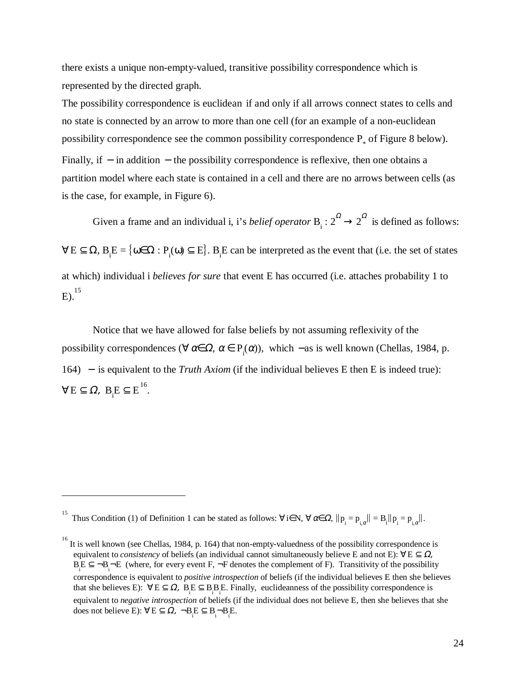there exists a unique non-empty-valued, transitive possibility correspondence which is represented by the directed graph.

The possibility correspondence is euclidean if and only if all arrows connect states to cells and no state is connected by an arrow to more than one cell (for an example of a non-euclidean possibility correspondence see the common possibility correspondence  $P_*$  of Figure 8 below). Finally, if − in addition − the possibility correspondence is reflexive, then one obtains a partition model where each state is contained in a cell and there are no arrows between cells (as is the case, for example, in Figure 6).

Given a frame and an individual i, i's *belief operator*  $B_i : 2^2 \rightarrow 2^2$  is defined as follows:  $\forall E \subseteq \Omega$ ,  $B_i E = \{ \omega \in \Omega : P_i(\omega) \subseteq E \}$ .  $B_i E$  can be interpreted as the event that (i.e. the set of states at which) individual i *believes for sure* that event E has occurred (i.e. attaches probability 1 to E). 15

Notice that we have allowed for false beliefs by not assuming reflexivity of the possibility correspondences ( $\forall \alpha \in \Omega$ ,  $\alpha \in P_i(\alpha)$ ), which –as is well known (Chellas, 1984, p. 164) − is equivalent to the *Truth Axiom* (if the individual believes E then E is indeed true):  $\forall E \subseteq \Omega$ ,  $B_i E \subseteq E^{16}$ .

<sup>15</sup> Thus Condition (1) of Definition 1 can be stated as follows:  $\forall i \in \mathbb{N}, \forall \alpha \in \Omega, ||p_i = p_{i,\alpha}|| = B_i ||p_i = p_{i,\alpha}||$ .

<sup>16</sup> It is well known (see Chellas, 1984, p. 164) that non-empty-valuedness of the possibility correspondence is equivalent to *consistency* of beliefs (an individual cannot simultaneously believe E and not E):  $\forall E \subseteq \Omega$ ,  $B_i E \subseteq \neg B_i \neg E$  (where, for every event F,  $\neg F$  denotes the complement of F). Transitivity of the possibility correspondence is equivalent to *positive introspection* of beliefs (if the individual believes E then she believes that she believes E):  $\forall E \subseteq \Omega$ ,  $B_i E \subseteq B_i B_i E$ . Finally, euclideanness of the possibility correspondence is equivalent to *negative introspection* of beliefs (if the individual does not believe E, then she believes that she does not believe E):  $\forall E \subseteq \Omega$ ,  $\neg B_i E \subseteq B_i \neg B_i E$ .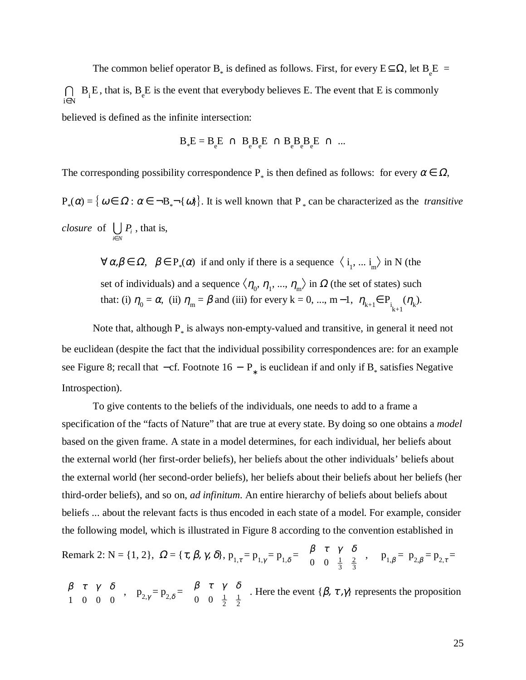The common belief operator B<sub>\*</sub> is defined as follows. First, for every  $E \subseteq \Omega$ , let  $B_e E$  =  $\bigcap_{i \in N} B_i E$ , that is,  $B_e E$  is the event that everybody believes E. The event that E is commonly believed is defined as the infinite intersection:

$$
B_*E=B_eE\ \cap\ B_eB_eE\ \cap B_eB_eB_eE\ \cap\ ...
$$

The corresponding possibility correspondence  $P_*$  is then defined as follows: for every  $\alpha \in \Omega$ ,  $P_*(\alpha) = \{ \omega \in \Omega : \alpha \in \neg B$ <sub>\*</sub> $\neg \{ \omega \} \}$ . It is well known that  $P_*$  can be characterized as the *transitive closure* of  $\bigcup_{i \in N} P_i$ , that is,

 $\forall \alpha, \beta \in \Omega$ ,  $\beta \in P_*(\alpha)$  if and only if there is a sequence  $\langle i_1, \dots i_m \rangle$  in N (the set of individuals) and a sequence  $\langle \eta_0, \eta_1, ..., \eta_m \rangle$  in  $\Omega$  (the set of states) such that: (i)  $\eta_0 = \alpha$ , (ii)  $\eta_m = \beta$  and (iii) for every k = 0, ..., m - 1,  $\eta_{k+1} \in P_{i_{k+1}}(\eta_k)$ .

Note that, although  $P_*$  is always non-empty-valued and transitive, in general it need not be euclidean (despite the fact that the individual possibility correspondences are: for an example see Figure 8; recall that  $-cf$ . Footnote 16 –  $P_*$  is euclidean if and only if B<sub>\*</sub> satisfies Negative Introspection).

To give contents to the beliefs of the individuals, one needs to add to a frame a specification of the "facts of Nature" that are true at every state. By doing so one obtains a *model* based on the given frame. A state in a model determines, for each individual, her beliefs about the external world (her first-order beliefs), her beliefs about the other individuals' beliefs about the external world (her second-order beliefs), her beliefs about their beliefs about her beliefs (her third-order beliefs), and so on, *ad infinitum*. An entire hierarchy of beliefs about beliefs about beliefs ... about the relevant facts is thus encoded in each state of a model. For example, consider the following model, which is illustrated in Figure 8 according to the convention established in

Remark 2:  $N = \{1, 2\}, \ \Omega = \{\tau, \beta, \gamma, \delta\}, \ p_{1,\tau} = p_{1,\gamma} = p_{1,\delta} = \begin{pmatrix} \beta & \tau & \gamma & \delta \\ 0 & 0 & \frac{1}{\gamma} & \frac{2}{\gamma} \end{pmatrix}$ 0 0  $\frac{1}{3}$ 2 3 ſ l  $\begin{pmatrix} \beta & \tau & \gamma & \delta \\ \cdot & \cdot & \cdot & \cdot \\ \end{pmatrix}$  $\int$ ,  $p_{1,\beta} = p_{2,\beta} = p_{2,\tau} =$ 

$$
\begin{pmatrix} \beta & \tau & \gamma & \delta \\ 1 & 0 & 0 & 0 \end{pmatrix}
$$
,  $p_{2,\gamma} = p_{2,\delta} = \begin{pmatrix} \beta & \tau & \gamma & \delta \\ 0 & 0 & \frac{1}{2} & \frac{1}{2} \end{pmatrix}$ . Here the event  $\{\beta, \tau, \gamma\}$  represents the proposition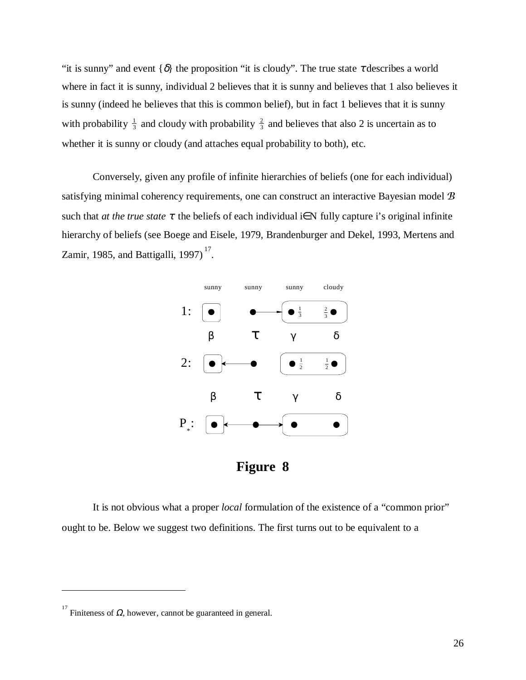"it is sunny" and event  $\{\delta\}$  the proposition "it is cloudy". The true state  $\tau$  describes a world where in fact it is sunny, individual 2 believes that it is sunny and believes that 1 also believes it is sunny (indeed he believes that this is common belief), but in fact 1 believes that it is sunny with probability  $\frac{1}{3}$  and cloudy with probability  $\frac{2}{3}$  and believes that also 2 is uncertain as to whether it is sunny or cloudy (and attaches equal probability to both), etc.

Conversely, given any profile of infinite hierarchies of beliefs (one for each individual) satisfying minimal coherency requirements, one can construct an interactive Bayesian model  $B$ such that *at the true state*  $\tau$  the beliefs of each individual i∈N fully capture i's original infinite hierarchy of beliefs (see Boege and Eisele, 1979, Brandenburger and Dekel, 1993, Mertens and Zamir, 1985, and Battigalli, 1997) $^{17}$ .



**Figure 8**

It is not obvious what a proper *local* formulation of the existence of a "common prior" ought to be. Below we suggest two definitions. The first turns out to be equivalent to a

<sup>&</sup>lt;sup>17</sup> Finiteness of  $Ω$ , however, cannot be guaranteed in general.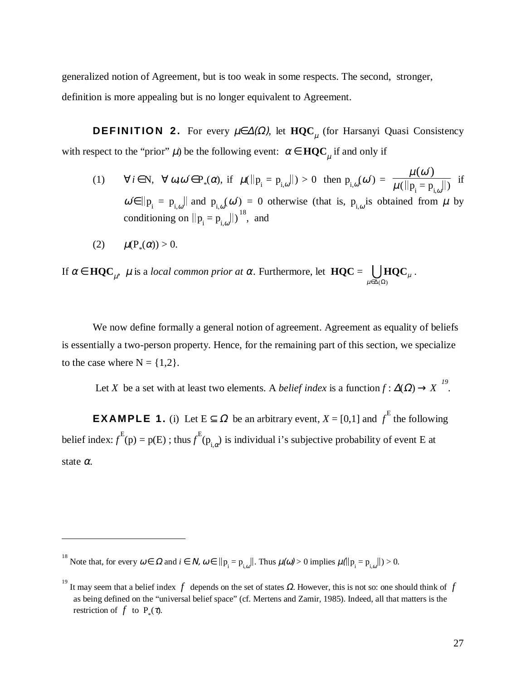generalized notion of Agreement, but is too weak in some respects. The second, stronger, definition is more appealing but is no longer equivalent to Agreement.

**DEFINITION 2.** For every  $\mu \in Δ(Ω)$ , let **HQC**<sub>μ</sub> (for Harsanyi Quasi Consistency with respect to the "prior"  $\mu$ ) be the following event:  $\alpha \in \mathbf{HQC}_\mu$  if and only if

- (1)  $\forall i \in \mathbb{N}, \ \forall \omega, \omega' \in P_*(\alpha)$ , if  $\mu(||p_i = p_{i,\omega}||) > 0$  then  $p_{i,\omega}(\omega') = \frac{\mu(\omega')}{\mu(||p_i = p_{i,\omega}||)}$  $\frac{\mu(\omega)}{\mu(||p_i = p_{i,\omega}||)}$  if  $\omega \in ||p_i = p_{i,\omega}||$  and  $p_{i,\omega}(\omega') = 0$  otherwise (that is,  $p_{i,\omega}$  is obtained from  $\mu$  by conditioning on  $||p_i = p_{i,\omega}||$ )<sup>18</sup>, and
- (2)  $\mu(P_*(\alpha)) > 0.$

 $\overline{a}$ 

If α ∈ **HQC**<sub>μ</sub>, μ is a *local common prior at* α. Furthermore, let **HQC** =  $\iint_{\mu \in Δ(\Omega)}$ **HQC**<sub>μ</sub>  $\bigcup \text{HQC}_\mu$  .

We now define formally a general notion of agreement. Agreement as equality of beliefs is essentially a two-person property. Hence, for the remaining part of this section, we specialize to the case where  $N = \{1,2\}$ .

Let *X* be a set with at least two elements. A *belief index* is a function  $f : \Delta(\Omega) \rightarrow X^{19}$ .

**EXAMPLE 1.** (i) Let  $E \subseteq \Omega$  be an arbitrary event,  $X = [0,1]$  and  $f<sup>E</sup>$  the following belief index:  $f^{E}(p) = p(E)$ ; thus  $f^{E}(p_{i,\alpha})$  is individual i's subjective probability of event E at state α.

<sup>&</sup>lt;sup>18</sup> Note that, for every  $\omega \in \Omega$  and  $i \in N$ ,  $\omega \in ||p_{i} = p_{i,\omega}||$ . Thus  $\mu(\omega) > 0$  implies  $\mu(||p_{i} = p_{i,\omega}||) > 0$ .

<sup>&</sup>lt;sup>19</sup> It may seem that a belief index  $f$  depends on the set of states  $\Omega$ . However, this is not so: one should think of  $f$ as being defined on the "universal belief space" (cf. Mertens and Zamir, 1985). Indeed, all that matters is the restriction of  $f$  to  $P_*(\tau)$ .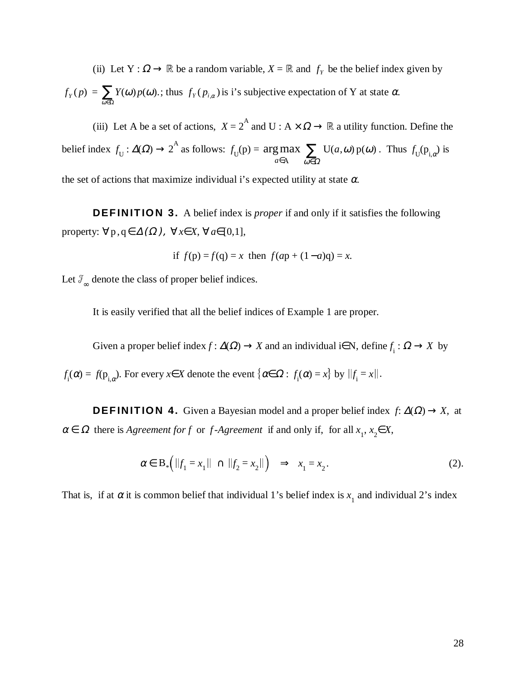(ii) Let  $Y : \Omega \to \mathbb{R}$  be a random variable,  $X = \mathbb{R}$  and  $f_Y$  be the belief index given by  $f_Y(p) = \sum_{\omega \in \Omega} Y(\omega) p(\omega)$ ; thus  $f_Y(p_{i,\alpha})$  is i's subjective expectation of Y at state  $\alpha$ .

(iii) Let A be a set of actions,  $X = 2^{\mathcal{A}}$  and U :  $A \times \Omega \rightarrow \mathbb{R}$  a utility function. Define the belief index  $f_U: \Delta(\Omega) \to 2^{\mathcal{A}}$  as follows:  $f_U(\mathbf{p}) = \underset{a \in \mathcal{A}}{\arg \max} \sum_{\omega \in \Omega} \mathcal{U}(a, \omega) p(\omega)$  $\in$ A  $\omega \in$ nax  $\sum_{\alpha \in \Omega}$  $U(a, \omega) p(\omega)$ ω $\epsilon\Omega$ . Thus  $f_{\mathrm{U}}(\mathrm{p}_{i,\alpha})$  is

the set of actions that maximize individual i's expected utility at state  $\alpha$ .

**DEFINITION 3.** A belief index is *proper* if and only if it satisfies the following property:  $\forall p, q \in \Delta(\Omega)$ ,  $\forall x \in X$ ,  $\forall a \in [0,1]$ ,

if 
$$
f(p) = f(q) = x
$$
 then  $f(ap + (1-a)q) = x$ .

Let  $\mathcal{F}_{\infty}$  denote the class of proper belief indices.

It is easily verified that all the belief indices of Example 1 are proper.

Given a proper belief index  $f: \Delta(\Omega) \to X$  and an individual i∈N, define  $f_i: \Omega \to X$  by

 $f_i(\alpha) = f(p_{i,\alpha})$ . For every  $x \in X$  denote the event  $\{\alpha \in \Omega : f_i(\alpha) = x\}$  by  $||f_i = x||$ .

**DEFINITION 4.** Given a Bayesian model and a proper belief index  $f: \Delta(\Omega) \rightarrow X$ , at  $\alpha \in \Omega$  there is *Agreement for f* or *f*-*Agreement* if and only if, for all  $x_1, x_2 \in X$ ,

$$
\alpha \in B_* \Big( \|f_1 = x_1\| \cap \|f_2 = x_2\| \Big) \implies x_1 = x_2. \tag{2}.
$$

That is, if at  $\alpha$  it is common belief that individual 1's belief index is  $x_1$  and individual 2's index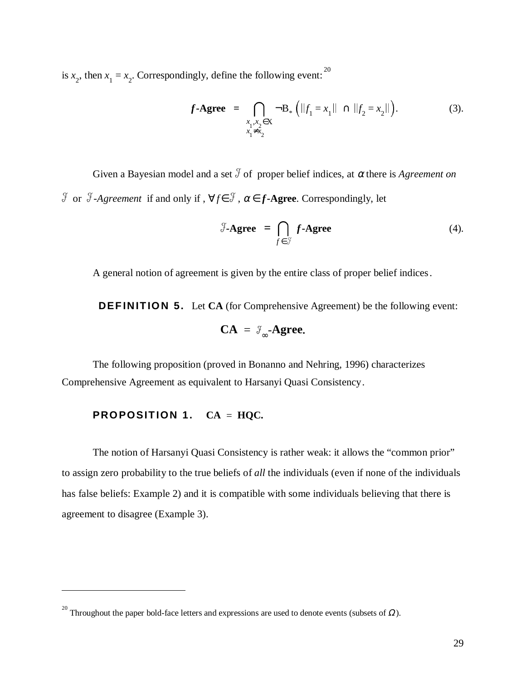is  $x_2$ , then  $x_1 = x_2$ . Correspondingly, define the following event: <sup>20</sup>

$$
f \text{-Agree} = \bigcap_{\substack{x_1, x_2 \in X \\ x_1 \neq x_2}} \neg B_* \left( \|f_1 = x_1\| \cap \|f_2 = x_2\| \right). \tag{3}.
$$

Given a Bayesian model and a set  $\mathcal{F}$  of proper belief indices, at  $\alpha$  there is *Agreement on*  $\mathcal{F}$  or  $\mathcal{F}$ -Agreement if and only if,  $\forall f \in \mathcal{F}$ ,  $\alpha \in f$ -Agree. Correspondingly, let

$$
\mathcal{F}\text{-Agree} = \bigcap_{f \in \mathcal{F}} f\text{-Agree} \tag{4}.
$$

A general notion of agreement is given by the entire class of proper belief indices.

**DEFINITION 5.** Let **CA** (for Comprehensive Agreement) be the following event:

$$
CA = \mathcal{F}_{\infty} \text{-Agree.}
$$

The following proposition (proved in Bonanno and Nehring, 1996) characterizes Comprehensive Agreement as equivalent to Harsanyi Quasi Consistency.

#### **PROPOSITION 1.**  $CA = HQC$ .

 $\overline{a}$ 

The notion of Harsanyi Quasi Consistency is rather weak: it allows the "common prior" to assign zero probability to the true beliefs of *all* the individuals (even if none of the individuals has false beliefs: Example 2) and it is compatible with some individuals believing that there is agreement to disagree (Example 3).

<sup>&</sup>lt;sup>20</sup> Throughout the paper bold-face letters and expressions are used to denote events (subsets of  $\Omega$ ).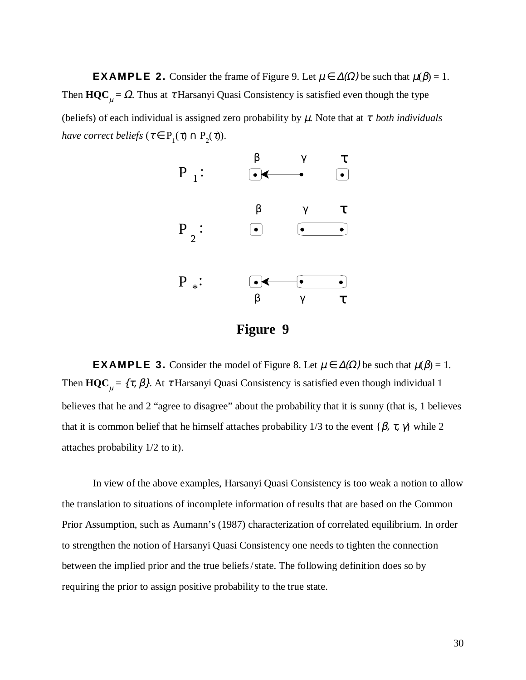**EXAMPLE 2.** Consider the frame of Figure 9. Let  $\mu \in \Delta(\Omega)$  be such that  $\mu(\beta) = 1$ . Then  $\mathbf{HQC}_\mu = \Omega$ . Thus at  $\tau$  Harsanyi Quasi Consistency is satisfied even though the type (beliefs) of each individual is assigned zero probability by µ. Note that at τ *both individuals have correct beliefs* ( $\tau \in P_1(\tau) \cap P_2(\tau)$ ).



**Figure 9**

**EXAMPLE 3.** Consider the model of Figure 8. Let  $\mu \in \Delta(\Omega)$  be such that  $\mu(\beta) = 1$ . Then  $\mathbf{HQC}_\mu = \{\tau, \beta\}$ . At  $\tau$  Harsanyi Quasi Consistency is satisfied even though individual 1 believes that he and 2 "agree to disagree" about the probability that it is sunny (that is, 1 believes that it is common belief that he himself attaches probability 1/3 to the event { $\beta$ ,  $\tau$ ,  $\gamma$ } while 2 attaches probability 1/2 to it).

In view of the above examples, Harsanyi Quasi Consistency is too weak a notion to allow the translation to situations of incomplete information of results that are based on the Common Prior Assumption, such as Aumann's (1987) characterization of correlated equilibrium. In order to strengthen the notion of Harsanyi Quasi Consistency one needs to tighten the connection between the implied prior and the true beliefs/state. The following definition does so by requiring the prior to assign positive probability to the true state.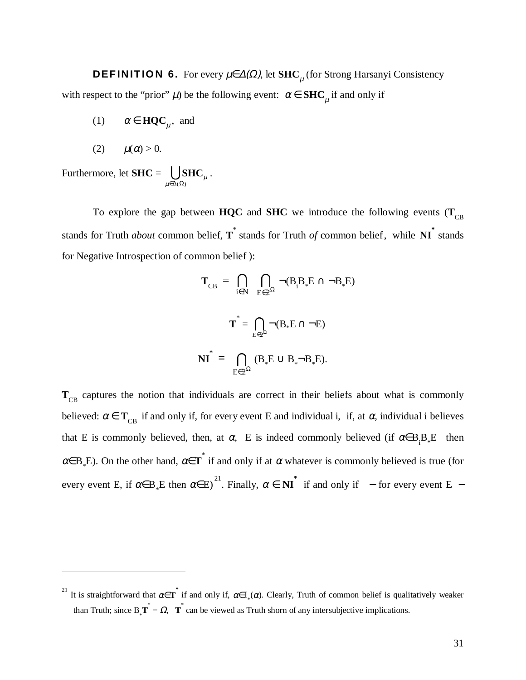**DEFINITION 6.** For every µ∈∆(Ω), let **SHC** µ (for Strong Harsanyi Consistency with respect to the "prior"  $\mu$ ) be the following event:  $\alpha \in \mathbf{SHC}_{\mu}$  if and only if

(1) 
$$
\alpha \in \text{HQC}_{\mu}
$$
, and

$$
(2) \qquad \mu(\alpha) > 0.
$$

 $\overline{a}$ 

Furthermore, let **SHC** =  $\bigcup_{\mu \in \Delta(\Omega)}$ **SHC**  $\mu$  $\bigcup \mathrm{SHC}_\mu$  .

To explore the gap between **HQC** and **SHC** we introduce the following events  $(\mathbf{T}_{CR})$ stands for Truth *about* common belief, **T** \* stands for Truth *of* common belief, while **NI\*** stands for Negative Introspection of common belief ):

$$
\mathbf{T}_{\text{CB}} = \bigcap_{i \in N} \bigcap_{E \in 2^{\Omega}} \neg (B_i B_* E \cap \neg B_* E)
$$

$$
\mathbf{T}^* = \bigcap_{E \in 2^{\Omega}} \neg (B_* E \cap \neg E)
$$

$$
\mathbf{NI}^* = \bigcap_{E \in 2^{\Omega}} (B_* E \cup B_* \neg B_* E).
$$

T<sub>CB</sub> captures the notion that individuals are correct in their beliefs about what is commonly believed:  $\alpha \in T_{CB}$  if and only if, for every event E and individual i, if, at  $\alpha$ , individual i believes that E is commonly believed, then, at  $\alpha$ , E is indeed commonly believed (if  $\alpha \in B_i B_{\alpha}E$  then  $\alpha \in B_*E$ ). On the other hand,  $\alpha \in T^*$  if and only if at  $\alpha$  whatever is commonly believed is true (for every event E, if  $\alpha \in B_*E$  then  $\alpha \in E$ )<sup>21</sup>. Finally,  $\alpha \in NI^*$  if and only if  $-$  for every event E  $-$ 

<sup>21</sup> It is straightforward that  $\alpha \in \overline{T}^*$  if and only if,  $\alpha \in I_*(\alpha)$ . Clearly, Truth of common belief is qualitatively weaker than Truth; since  $B_*\mathbf{T}^* = \Omega$ ,  $\mathbf{T}^*$  can be viewed as Truth shorn of any intersubjective implications.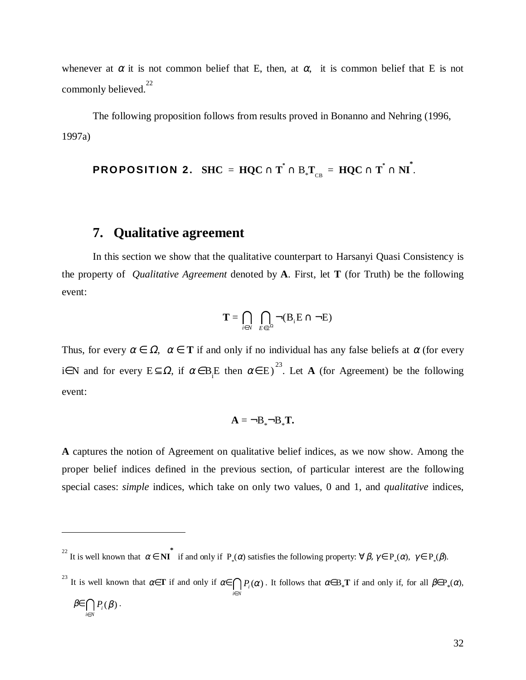whenever at  $\alpha$  it is not common belief that E, then, at  $\alpha$ , it is common belief that E is not commonly believed.<sup>22</sup>

The following proposition follows from results proved in Bonanno and Nehring (1996, 1997a)

 $\mathbf{PROPOSITION}$  2.  $\mathbf{SHC} = \mathbf{HQC} \cap \mathbf{T}^* \cap \mathbf{B}_*\mathbf{T}_{_{\mathbf{CB}}} = \mathbf{HQC} \cap \mathbf{T}^* \cap \mathbf{NI}^*.$ 

#### **7. Qualitative agreement**

 $\overline{a}$ 

In this section we show that the qualitative counterpart to Harsanyi Quasi Consistency is the property of *Qualitative Agreement* denoted by **A**. First, let **T** (for Truth) be the following event:

$$
\mathbf{T} = \bigcap_{i \in N} \ \bigcap_{E \in 2^{\Omega}} \neg (\mathbf{B}_i \mathbf{E} \cap \neg \mathbf{E})
$$

Thus, for every  $\alpha \in \Omega$ ,  $\alpha \in T$  if and only if no individual has any false beliefs at  $\alpha$  (for every i∈N and for every  $E \subseteq \Omega$ , if  $\alpha \in B$ <sub>i</sub>E then  $\alpha \in E$ )<sup>23</sup>. Let **A** (for Agreement) be the following event:

$$
\mathbf{A} = \neg \mathbf{B} \Box \mathbf{B} \Box \mathbf{T}.
$$

**A** captures the notion of Agreement on qualitative belief indices, as we now show. Among the proper belief indices defined in the previous section, of particular interest are the following special cases: *simple* indices, which take on only two values, 0 and 1, and *qualitative* indices,

<sup>&</sup>lt;sup>22</sup> It is well known that  $\alpha \in \mathbf{N} \mathbf{I}^*$  if and only if  $P_*(\alpha)$  satisfies the following property:  $\forall \beta, \gamma \in P_*(\alpha), \gamma \in P_*(\beta)$ .

<sup>&</sup>lt;sup>23</sup> It is well known that  $\alpha \in \mathbf{T}$  if and only if  $\alpha \in \bigcap_{i \in N} P_i(\alpha)$ . It follows that  $\alpha \in B_*\mathbf{T}$  if and only if, for all  $\beta \in P_*(\alpha)$ ,  $\beta \in \bigcap_{i \in N} P_i$  $(\beta)$ .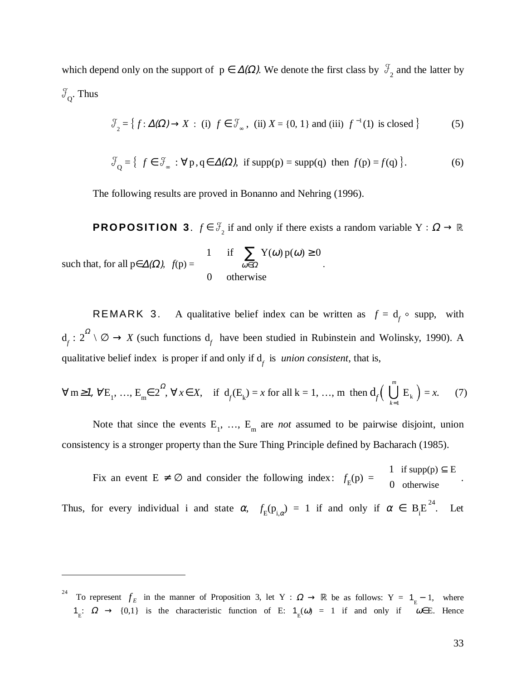which depend only on the support of  $p \in \Delta(\Omega)$ . We denote the first class by  $\mathcal{F}_2$  and the latter by  $\mathcal{J}_{\Omega}$ . Thus

$$
\mathcal{F}_2 = \left\{ f : \Delta(\Omega) \to X \; : \; \text{(i)} \; f \in \mathcal{F}_\infty \; , \; \text{(ii)} \; X = \{0, 1\} \; \text{and (iii)} \; f^{-1}(1) \; \text{is closed} \right\} \tag{5}
$$

$$
\mathcal{F}_{Q} = \{ f \in \mathcal{F}_{\infty} : \forall p, q \in \Delta(\Omega), \text{ if } supp(p) = supp(q) \text{ then } f(p) = f(q) \}.
$$
 (6)

The following results are proved in Bonanno and Nehring (1996).

**PROPOSITION 3**.  $f \in \mathcal{F}_2$  if and only if there exists a random variable Y :  $\Omega \to \mathbb{R}$ such that, for all  $p \in \Delta(\Omega)$ ,  $f(p) =$ 1 if  $\sum Y(\omega) p(\omega) \ge 0$ 0 if  $\sum_{\alpha} Y(\omega) p$ otherwise  $(\omega)$  p $(\omega)$ ω | 1 if  $\sum Y(\omega) p(\omega) \ge$ ₹  $\mathsf{I}$  $\overline{\mathsf{I}}$ ∈ ∑  $\overline{\Omega}$  .

REMARK 3. A qualitative belief index can be written as  $f = d_f \circ$  supp, with  $d_f : 2^{\Omega} \setminus \emptyset \to X$  (such functions  $d_f$  have been studied in Rubinstein and Wolinsky, 1990). A qualitative belief index is proper if and only if  $d_f$  is *union consistent*, that is,

$$
\forall
$$
 m \ge 1,  $\forall$  E<sub>1</sub>, ..., E<sub>m</sub>  $\in$  2<sup>2</sup>,  $\forall$  x  $\in$  X, if  $d_f(E_k) = x$  for all k = 1, ..., m then  $d_f\left(\bigcup_{k=1}^{m} E_k\right) = x$ . (7)

Note that since the events  $E_1$ , ...,  $E_m$  are *not* assumed to be pairwise disjoint, union consistency is a stronger property than the Sure Thing Principle defined by Bacharach (1985).

Fix an event  $E \neq \emptyset$  and consider the following index:  $f_E(p) =$ 1 0 if supp(p)  $\subseteq$  E otherwise | 1 if supp(p)  $\subseteq$  $\begin{cases} 0 & \text{otherwise} \end{cases}$ Thus, for every individual i and state  $\alpha$ ,  $f_E(p_{i,\alpha}) = 1$  if and only if  $\alpha \in B_iE^{24}$ . Let

<sup>24</sup> To represent  $f_E$  in the manner of Proposition 3, let Y :  $\Omega \to \mathbb{R}$  be as follows: Y = 1<sub>E</sub> - 1, where  $1_E$ :  $\Omega \rightarrow \{0,1\}$  is the characteristic function of E:  $1_E(\omega) = 1$  if and only if  $\omega \in E$ . Hence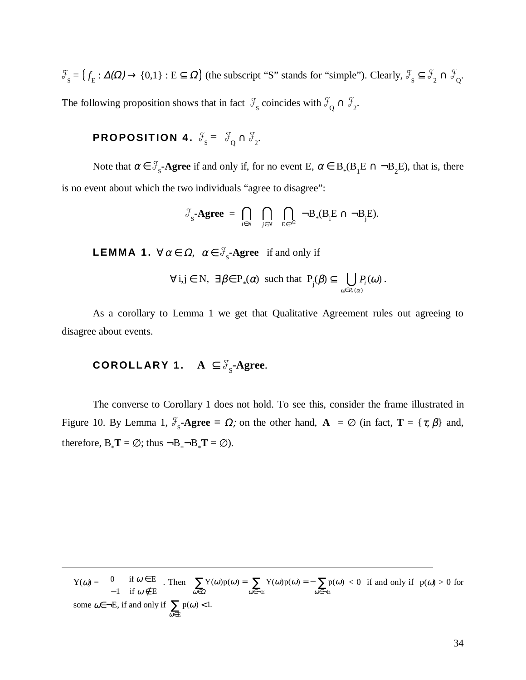$S_S = \{f_E : \Delta(\Omega) \to \{0,1\} : E \subseteq \Omega\}$  (the subscript "S" stands for "simple"). Clearly,  $\mathcal{F}_S \subseteq \mathcal{F}_2 \cap \mathcal{F}_Q$ . The following proposition shows that in fact  $\mathcal{F}_{\rm s}$  coincides with  $\mathcal{F}_{\rm Q} \cap \mathcal{F}_{\rm 2}$ .

### PROPOSITION 4.  $\mathcal{J}_\mathrm{s} = \ \mathcal{J}_\mathrm{Q} \cap \mathcal{J}_\mathrm{2}.$

Note that  $\alpha \in \mathcal{F}_s$ -**Agree** if and only if, for no event E,  $\alpha \in B_*(B_1E \cap \neg B_2E)$ , that is, there is no event about which the two individuals "agree to disagree":

$$
\mathcal{F}_s\text{-} \mathbf{Agree} \; = \; \bigcap_{i \in N} \quad \bigcap_{j \in N} \quad \bigcap_{E \in 2^{\Omega}} \; \neg B_*(B_i E \cap \neg B_j E).
$$

**LEMMA 1.**  $\forall \alpha \in \Omega$ ,  $\alpha \in \mathcal{F}_s$ -Agree if and only if

$$
\forall i,j \in N, \ \exists \beta \in P_*(\alpha) \ \text{such that } P_j(\beta) \subseteq \bigcup_{\omega \in P_*(\alpha)} P_i(\omega) .
$$

As a corollary to Lemma 1 we get that Qualitative Agreement rules out agreeing to disagree about events.

### **COROLLARY 1.**  $A \subseteq \mathcal{F}_s$ -Agree.

 $\overline{a}$ 

The converse to Corollary 1 does not hold. To see this, consider the frame illustrated in Figure 10. By Lemma 1,  $\mathcal{F}_s$ -Agree =  $\Omega$ ; on the other hand,  $\mathbf{A} = \emptyset$  (in fact,  $\mathbf{T} = {\tau, \beta}$ ) and, therefore,  $B_*T = \emptyset$ ; thus  $\neg B_*\neg B_*T = \emptyset$ ).

 $Y(\omega) = \int 0$ 1 if  $\omega \in E$ if  $\omega \notin E$ ω ω ∈  $-1$  if  $\omega \notin$  $\left\{$ . Then  $\sum Y(\omega)p(\omega) = \sum Y(\omega)p(\omega) = -\sum p$ E  $\omega \in \neg E$  $(\omega) p(\omega) = \sum_{\alpha} Y(\omega) p(\omega) = - \sum_{\alpha} p(\omega)$  $\sum_{\omega \in \Omega} Y(\omega) p(\omega) = \sum_{\omega \in \neg E} Y(\omega) p(\omega) = - \sum_{\omega \in \neg E}$  $0 \leq 0$  if and only if  $p(\omega) > 0$  for some  $\omega \in \neg E$ , if and only if  $\sum p$ E  $(\omega) < 1.$ ω  $\prec$  $\sum_{\omega \in E}$  p( $\omega$ ) < 1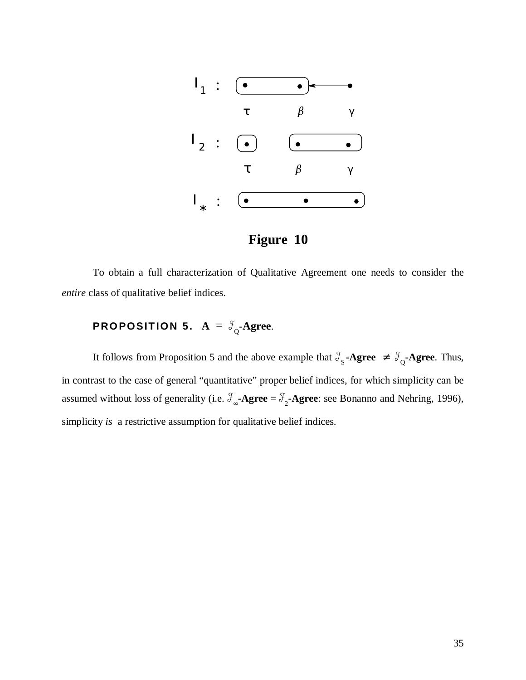



To obtain a full characterization of Qualitative Agreement one needs to consider the *entire* class of qualitative belief indices.

### **PROPOSITION 5.**  $A = \mathcal{F}_{0}$ -Agree.

It follows from Proposition 5 and the above example that  $\mathcal{F}_s$ -Agree  $\neq \mathcal{F}_o$ -Agree. Thus, in contrast to the case of general "quantitative" proper belief indices, for which simplicity can be assumed without loss of generality (i.e.  $\mathcal{F}_{\infty}$ -**Agree** =  $\mathcal{F}_{2}$ -**Agree**: see Bonanno and Nehring, 1996), simplicity *is* a restrictive assumption for qualitative belief indices.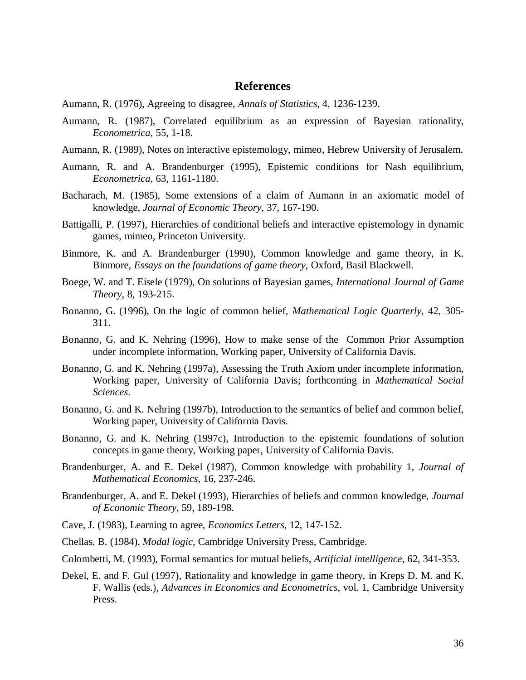#### **References**

- Aumann, R. (1976), Agreeing to disagree, *Annals of Statistics,* 4, 1236-1239.
- Aumann, R. (1987), Correlated equilibrium as an expression of Bayesian rationality, *Econometrica*, 55, 1-18.
- Aumann, R. (1989), Notes on interactive epistemology, mimeo, Hebrew University of Jerusalem.
- Aumann, R. and A. Brandenburger (1995), Epistemic conditions for Nash equilibrium, *Econometrica*, 63, 1161-1180.
- Bacharach, M. (1985), Some extensions of a claim of Aumann in an axiomatic model of knowledge, *Journal of Economic Theory*, 37, 167-190.
- Battigalli, P. (1997), Hierarchies of conditional beliefs and interactive epistemology in dynamic games, mimeo, Princeton University.
- Binmore, K. and A. Brandenburger (1990), Common knowledge and game theory, in K. Binmore, *Essays on the foundations of game theory,* Oxford, Basil Blackwell.
- Boege, W. and T. Eisele (1979), On solutions of Bayesian games, *International Journal of Game Theory,* 8, 193-215.
- Bonanno, G. (1996), On the logic of common belief, *Mathematical Logic Quarterly*, 42, 305- 311.
- Bonanno, G. and K. Nehring (1996), How to make sense of the Common Prior Assumption under incomplete information, Working paper, University of California Davis.
- Bonanno, G. and K. Nehring (1997a), Assessing the Truth Axiom under incomplete information, Working paper, University of California Davis; forthcoming in *Mathematical Social Sciences*.
- Bonanno, G. and K. Nehring (1997b), Introduction to the semantics of belief and common belief, Working paper, University of California Davis.
- Bonanno, G. and K. Nehring (1997c), Introduction to the epistemic foundations of solution concepts in game theory, Working paper, University of California Davis.
- Brandenburger, A. and E. Dekel (1987), Common knowledge with probability 1, *Journal of Mathematical Economics*, 16, 237-246.
- Brandenburger, A. and E. Dekel (1993), Hierarchies of beliefs and common knowledge, *Journal of Economic Theory*, 59, 189-198.
- Cave, J. (1983), Learning to agree, *Economics Letters*, 12, 147-152.
- Chellas, B. (1984), *Modal logic*, Cambridge University Press, Cambridge.
- Colombetti, M. (1993), Formal semantics for mutual beliefs, *Artificial intelligence*, 62, 341-353.
- Dekel, E. and F. Gul (1997), Rationality and knowledge in game theory, in Kreps D. M. and K. F. Wallis (eds.), *Advances in Economics and Econometrics*, vol. 1, Cambridge University Press.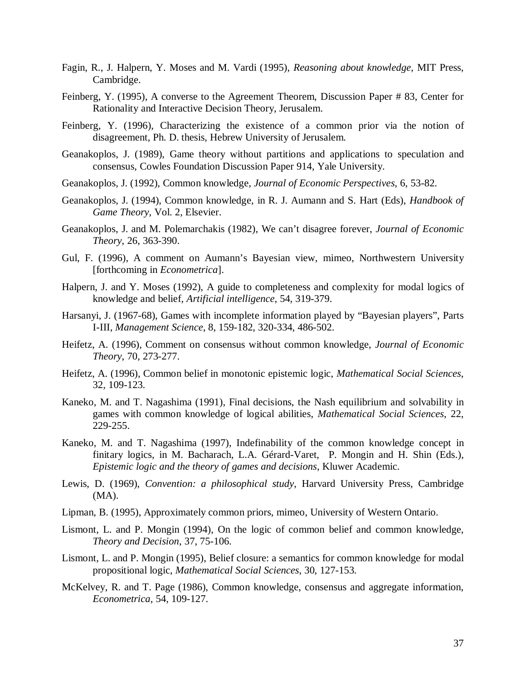- Fagin, R., J. Halpern, Y. Moses and M. Vardi (1995), *Reasoning about knowledge*, MIT Press, Cambridge.
- Feinberg, Y. (1995), A converse to the Agreement Theorem, Discussion Paper # 83, Center for Rationality and Interactive Decision Theory, Jerusalem.
- Feinberg, Y. (1996), Characterizing the existence of a common prior via the notion of disagreement, Ph. D. thesis, Hebrew University of Jerusalem.
- Geanakoplos, J. (1989), Game theory without partitions and applications to speculation and consensus, Cowles Foundation Discussion Paper 914, Yale University.
- Geanakoplos, J. (1992), Common knowledge, *Journal of Economic Perspectives*, 6, 53-82.
- Geanakoplos, J. (1994), Common knowledge, in R. J. Aumann and S. Hart (Eds), *Handbook of Game Theory*, Vol. 2, Elsevier.
- Geanakoplos, J. and M. Polemarchakis (1982), We can't disagree forever, *Journal of Economic Theory*, 26, 363-390.
- Gul, F. (1996), A comment on Aumann's Bayesian view, mimeo, Northwestern University [forthcoming in *Econometrica*].
- Halpern, J. and Y. Moses (1992), A guide to completeness and complexity for modal logics of knowledge and belief, *Artificial intelligence*, 54, 319-379.
- Harsanyi, J. (1967-68), Games with incomplete information played by "Bayesian players", Parts I-III, *Management Science*, 8, 159-182, 320-334, 486-502.
- Heifetz, A. (1996), Comment on consensus without common knowledge, *Journal of Economic Theory*, 70, 273-277.
- Heifetz, A. (1996), Common belief in monotonic epistemic logic, *Mathematical Social Sciences*, 32, 109-123.
- Kaneko, M. and T. Nagashima (1991), Final decisions, the Nash equilibrium and solvability in games with common knowledge of logical abilities, *Mathematical Social Sciences*, 22, 229-255.
- Kaneko, M. and T. Nagashima (1997), Indefinability of the common knowledge concept in finitary logics, in M. Bacharach, L.A. Gérard-Varet, P. Mongin and H. Shin (Eds.), *Epistemic logic and the theory of games and decisions*, Kluwer Academic.
- Lewis, D. (1969), *Convention: a philosophical study*, Harvard University Press, Cambridge (MA).
- Lipman, B. (1995), Approximately common priors, mimeo, University of Western Ontario.
- Lismont, L. and P. Mongin (1994), On the logic of common belief and common knowledge, *Theory and Decision*, 37, 75-106.
- Lismont, L. and P. Mongin (1995), Belief closure: a semantics for common knowledge for modal propositional logic, *Mathematical Social Sciences*, 30, 127-153.
- McKelvey, R. and T. Page (1986), Common knowledge, consensus and aggregate information, *Econometrica*, 54, 109-127.